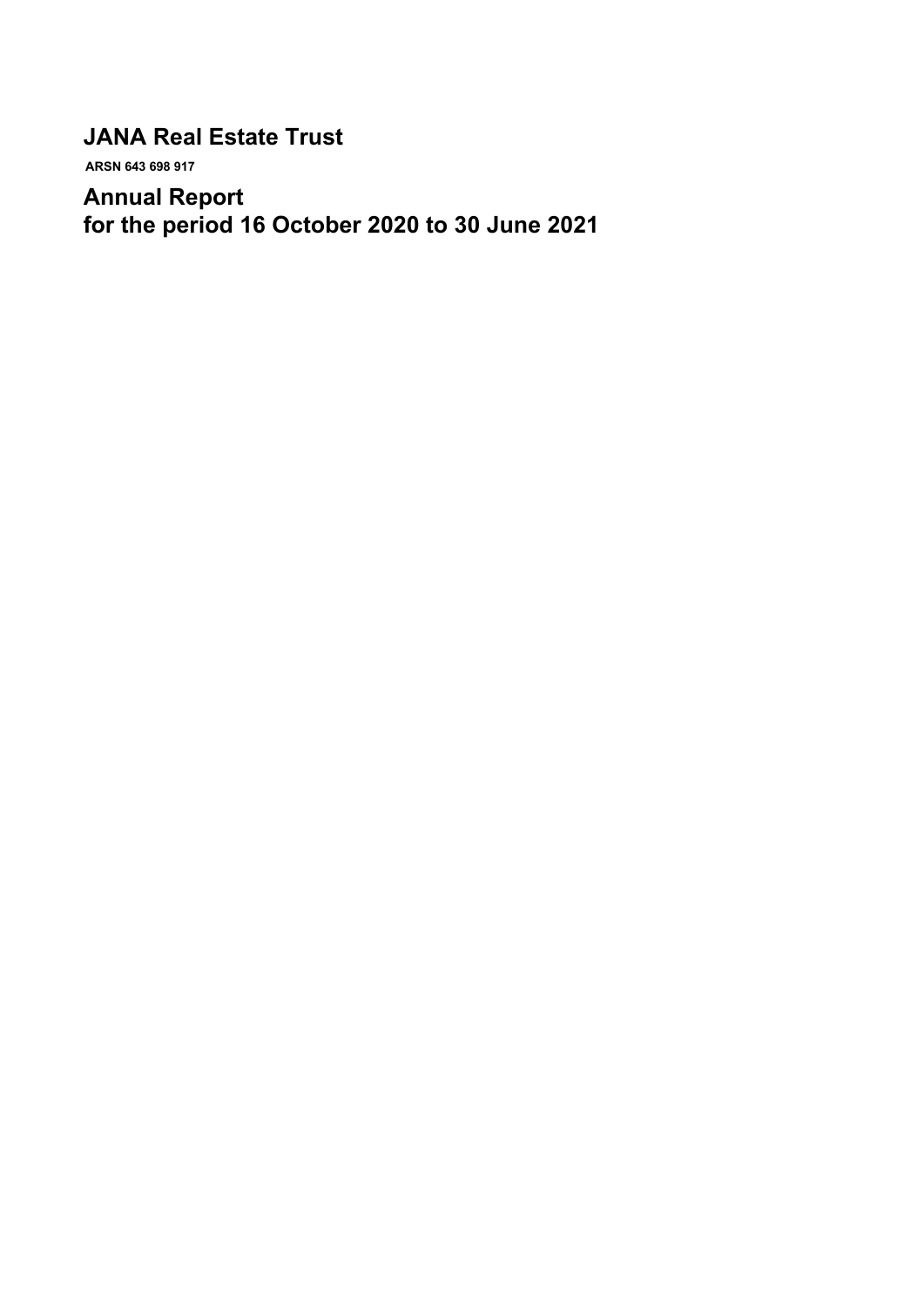# **JANA Real Estate Trust**

 **ARSN 643 698 917**

# **Annual Report for the period 16 October 2020 to 30 June 2021**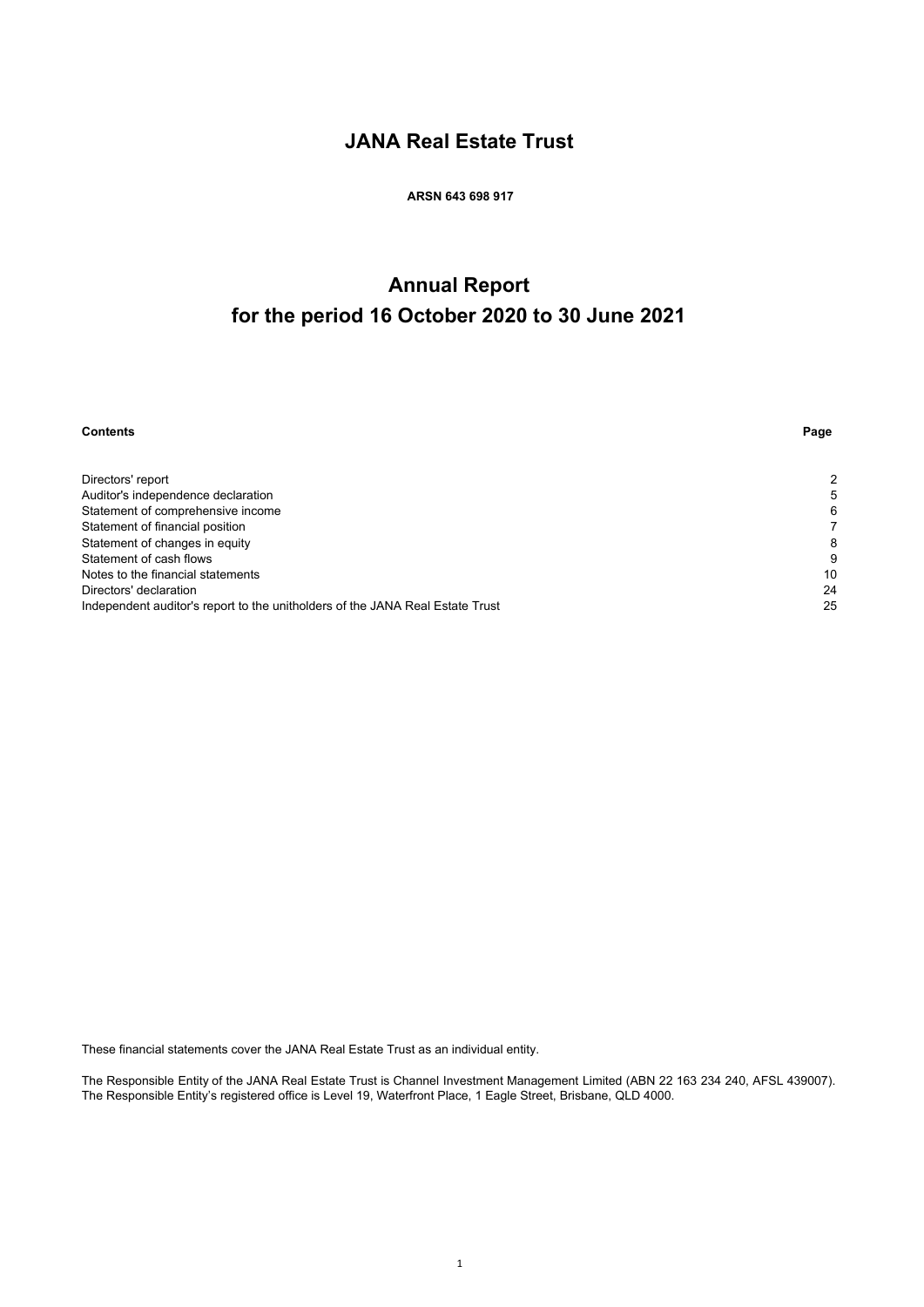# **JANA Real Estate Trust**

 **ARSN 643 698 917**

# **Annual Report for the period 16 October 2020 to 30 June 2021**

| <b>Contents</b>                                                               | Page |
|-------------------------------------------------------------------------------|------|
|                                                                               |      |
| Directors' report                                                             | 2    |
| Auditor's independence declaration                                            | 5    |
| Statement of comprehensive income                                             | 6    |
| Statement of financial position                                               |      |
| Statement of changes in equity                                                | 8    |
| Statement of cash flows                                                       | 9    |
| Notes to the financial statements                                             | 10   |
| Directors' declaration                                                        | 24   |
| Independent auditor's report to the unitholders of the JANA Real Estate Trust | 25   |

These financial statements cover the JANA Real Estate Trust as an individual entity.

The Responsible Entity of the JANA Real Estate Trust is Channel Investment Management Limited (ABN 22 163 234 240, AFSL 439007). The Responsible Entity's registered office is Level 19, Waterfront Place, 1 Eagle Street, Brisbane, QLD 4000.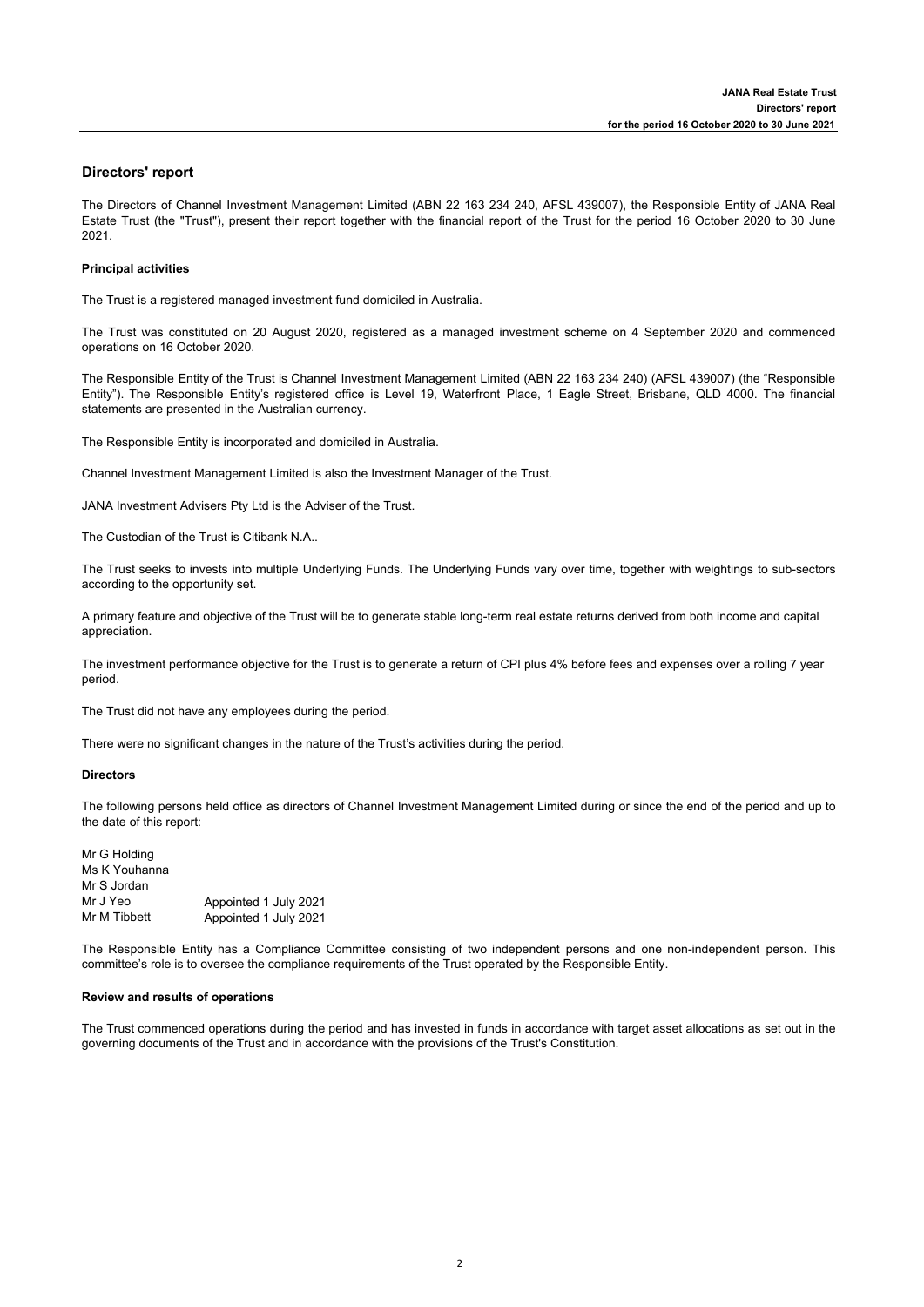### **Directors' report**

The Directors of Channel Investment Management Limited (ABN 22 163 234 240, AFSL 439007), the Responsible Entity of JANA Real Estate Trust (the "Trust"), present their report together with the financial report of the Trust for the period 16 October 2020 to 30 June 2021.

### **Principal activities**

The Trust is a registered managed investment fund domiciled in Australia.

The Trust was constituted on 20 August 2020, registered as a managed investment scheme on 4 September 2020 and commenced operations on 16 October 2020.

The Responsible Entity of the Trust is Channel Investment Management Limited (ABN 22 163 234 240) (AFSL 439007) (the "Responsible Entity"). The Responsible Entity's registered office is Level 19, Waterfront Place, 1 Eagle Street, Brisbane, QLD 4000. The financial statements are presented in the Australian currency.

The Responsible Entity is incorporated and domiciled in Australia.

Channel Investment Management Limited is also the Investment Manager of the Trust.

JANA Investment Advisers Pty Ltd is the Adviser of the Trust.

The Custodian of the Trust is Citibank N.A..

The Trust seeks to invests into multiple Underlying Funds. The Underlying Funds vary over time, together with weightings to sub-sectors according to the opportunity set.

A primary feature and objective of the Trust will be to generate stable long-term real estate returns derived from both income and capital appreciation.

The investment performance objective for the Trust is to generate a return of CPI plus 4% before fees and expenses over a rolling 7 year period.

The Trust did not have any employees during the period.

There were no significant changes in the nature of the Trust's activities during the period.

### **Directors**

The following persons held office as directors of Channel Investment Management Limited during or since the end of the period and up to the date of this report:

| Appointed 1 July 2021 |
|-----------------------|
| Appointed 1 July 2021 |
|                       |

The Responsible Entity has a Compliance Committee consisting of two independent persons and one non-independent person. This committee's role is to oversee the compliance requirements of the Trust operated by the Responsible Entity.

### **Review and results of operations**

The Trust commenced operations during the period and has invested in funds in accordance with target asset allocations as set out in the governing documents of the Trust and in accordance with the provisions of the Trust's Constitution.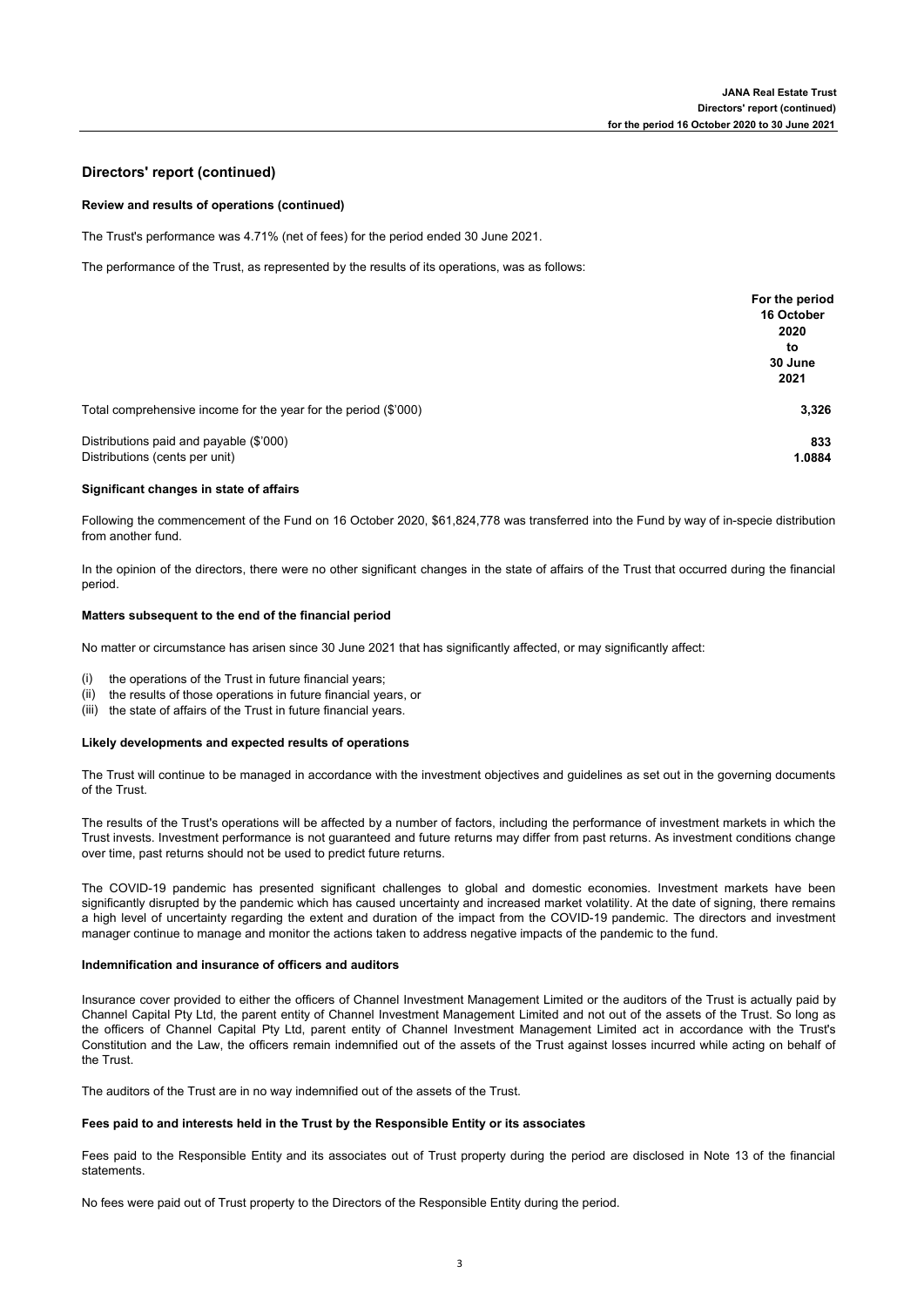### **Directors' report (continued)**

### **Review and results of operations (continued)**

The Trust's performance was 4.71% (net of fees) for the period ended 30 June 2021.

The performance of the Trust, as represented by the results of its operations, was as follows:

|                                                                 | For the period |
|-----------------------------------------------------------------|----------------|
|                                                                 | 16 October     |
|                                                                 | 2020           |
|                                                                 | to             |
|                                                                 | 30 June        |
|                                                                 | 2021           |
| Total comprehensive income for the year for the period (\$'000) | 3,326          |
| Distributions paid and payable (\$'000)                         | 833            |
| Distributions (cents per unit)                                  | 1.0884         |

### **Significant changes in state of affairs**

Following the commencement of the Fund on 16 October 2020, \$61,824,778 was transferred into the Fund by way of in-specie distribution from another fund.

In the opinion of the directors, there were no other significant changes in the state of affairs of the Trust that occurred during the financial period.

### **Matters subsequent to the end of the financial period**

No matter or circumstance has arisen since 30 June 2021 that has significantly affected, or may significantly affect:

- (i) the operations of the Trust in future financial years;
- (ii) the results of those operations in future financial years, or
- (iii) the state of affairs of the Trust in future financial years.

### **Likely developments and expected results of operations**

The Trust will continue to be managed in accordance with the investment objectives and guidelines as set out in the governing documents of the Trust.

The results of the Trust's operations will be affected by a number of factors, including the performance of investment markets in which the Trust invests. Investment performance is not guaranteed and future returns may differ from past returns. As investment conditions change over time, past returns should not be used to predict future returns.

The COVID-19 pandemic has presented significant challenges to global and domestic economies. Investment markets have been significantly disrupted by the pandemic which has caused uncertainty and increased market volatility. At the date of signing, there remains a high level of uncertainty regarding the extent and duration of the impact from the COVID-19 pandemic. The directors and investment manager continue to manage and monitor the actions taken to address negative impacts of the pandemic to the fund.

### **Indemnification and insurance of officers and auditors**

Insurance cover provided to either the officers of Channel Investment Management Limited or the auditors of the Trust is actually paid by Channel Capital Pty Ltd, the parent entity of Channel Investment Management Limited and not out of the assets of the Trust. So long as the officers of Channel Capital Pty Ltd, parent entity of Channel Investment Management Limited act in accordance with the Trust's Constitution and the Law, the officers remain indemnified out of the assets of the Trust against losses incurred while acting on behalf of the Trust.

The auditors of the Trust are in no way indemnified out of the assets of the Trust.

### **Fees paid to and interests held in the Trust by the Responsible Entity or its associates**

Fees paid to the Responsible Entity and its associates out of Trust property during the period are disclosed in Note 13 of the financial **statements** 

No fees were paid out of Trust property to the Directors of the Responsible Entity during the period.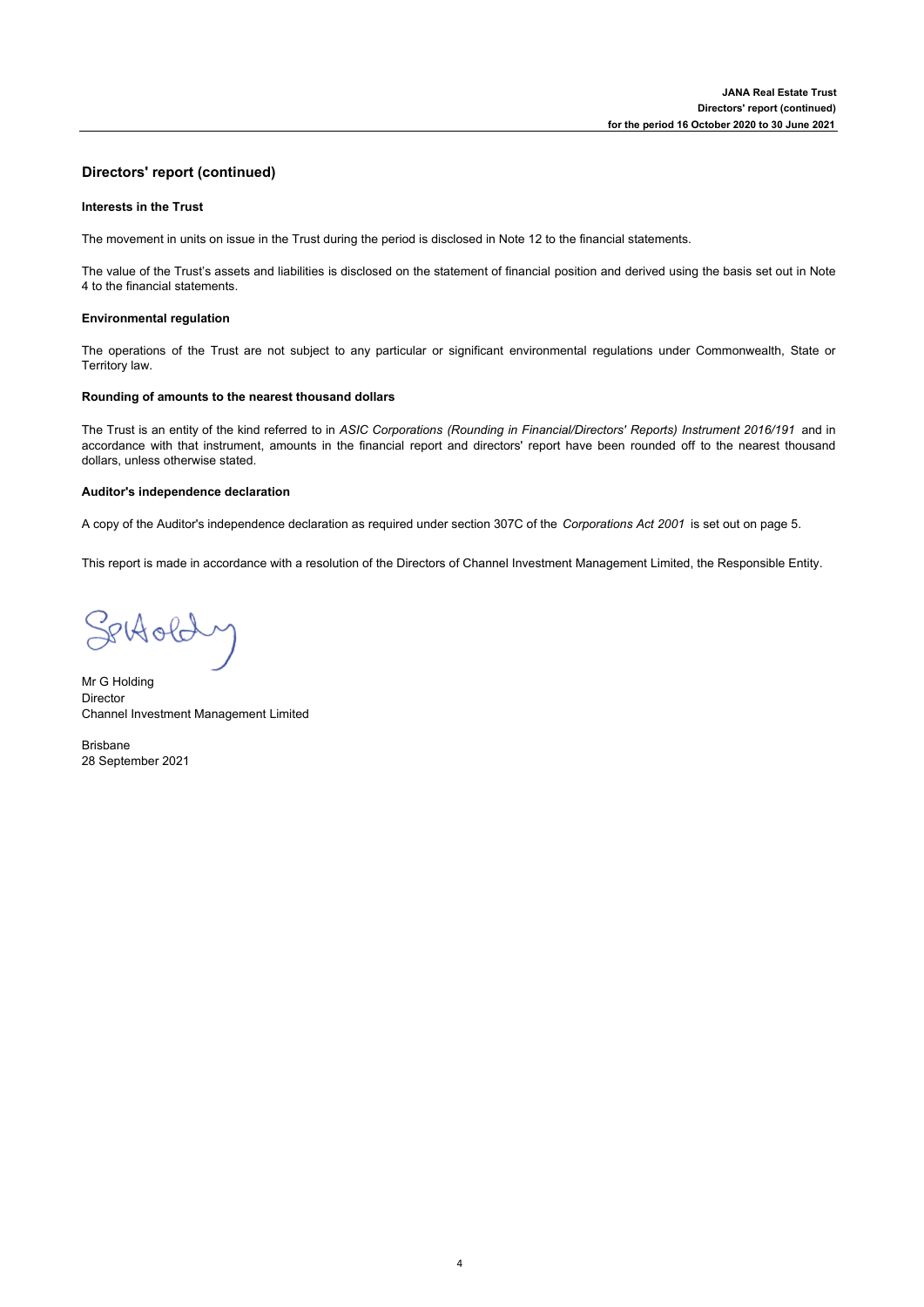## **Directors' report (continued)**

### **lnterests in the Trust**

The movement in units on issue in the Trust during the period is disclosed in Note 12 to the financial statements.

The value of the Trust's assets and liabilities is disclosed on the statement of financial position and derived using the basis set out in Note 4 to the financial statements.

### **Environmental regulation**

The operations of the Trust are not subject to any particular or significant environmental regulations under Commonwealth, State or Territory law.

### **Rounding of amounts to the nearest thousand dollars**

The Trust is an entity of the kind referred to in *ASIC Corporations (Rounding in Financial/Directors' Reports) Instrument 2016/191* and in accordance with that instrument, amounts in the financial report and directors' report have been rounded off to the nearest thousand dollars, unless otherwise stated.

### **Auditor's independence declaration**

A copy of the Auditor's independence declaration as required under section 307C of the *Corporations Act 2001* is set out on page 5.

This report is made in accordance with a resolution of the Directors of Channel Investment Management Limited, the Responsible Entity.

Settoldy

Mr G Holding Director Channel Investment Management Limited

Brisbane 28 September 2021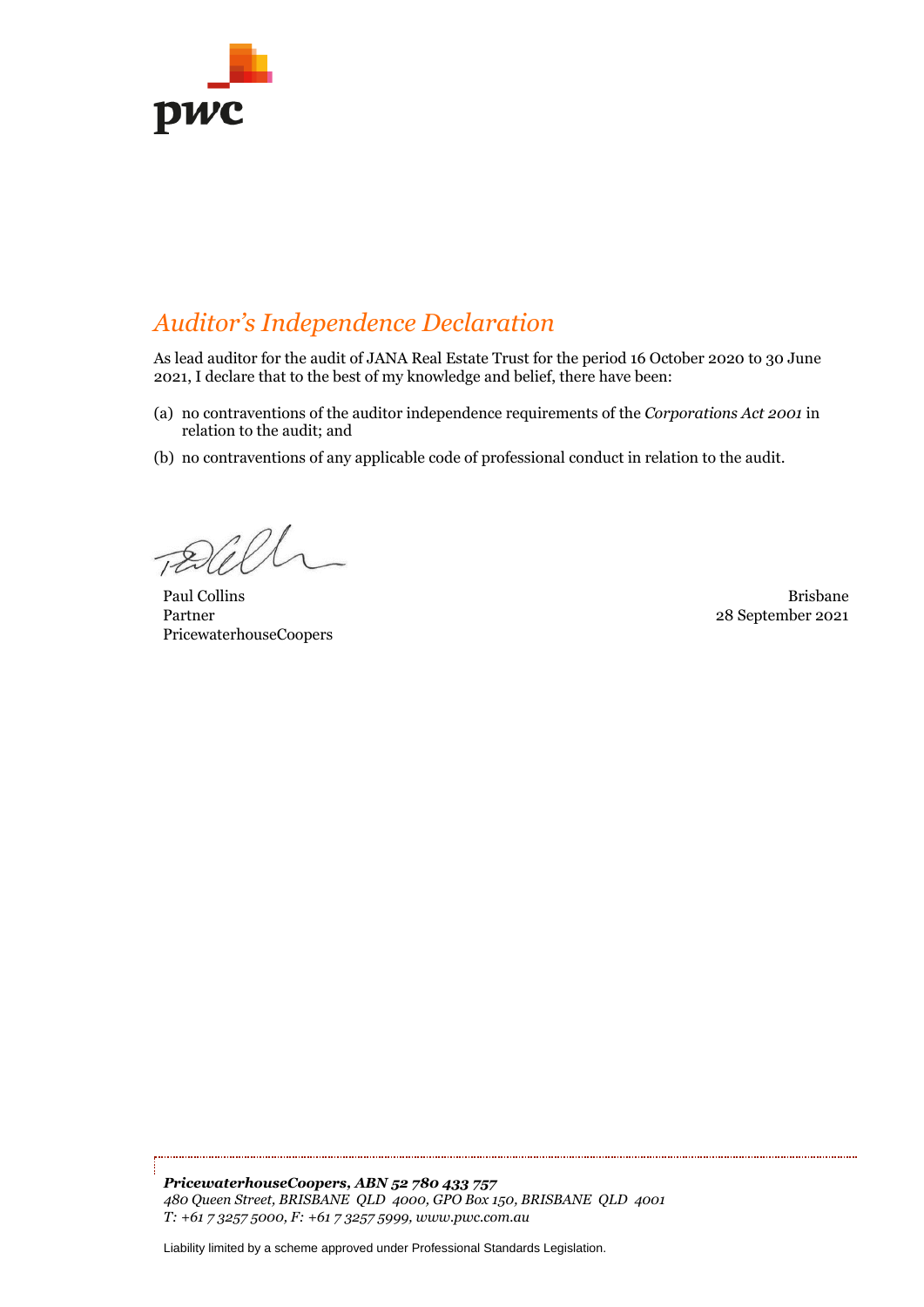

# *Auditor's Independence Declaration*

As lead auditor for the audit of JANA Real Estate Trust for the period 16 October 2020 to 30 June 2021, I declare that to the best of my knowledge and belief, there have been:

- (a) no contraventions of the auditor independence requirements of the *Corporations Act 2001* in relation to the audit; and
- (b) no contraventions of any applicable code of professional conduct in relation to the audit.

Paul Collins **Brisbane** Partner PricewaterhouseCoopers

28 September 2021

*PricewaterhouseCoopers, ABN 52 780 433 757 480 Queen Street, BRISBANE QLD 4000, GPO Box 150, BRISBANE QLD 4001 T: +61 7 3257 5000, F: +61 7 3257 5999, www.pwc.com.au*

Liability limited by a scheme approved under Professional Standards Legislation.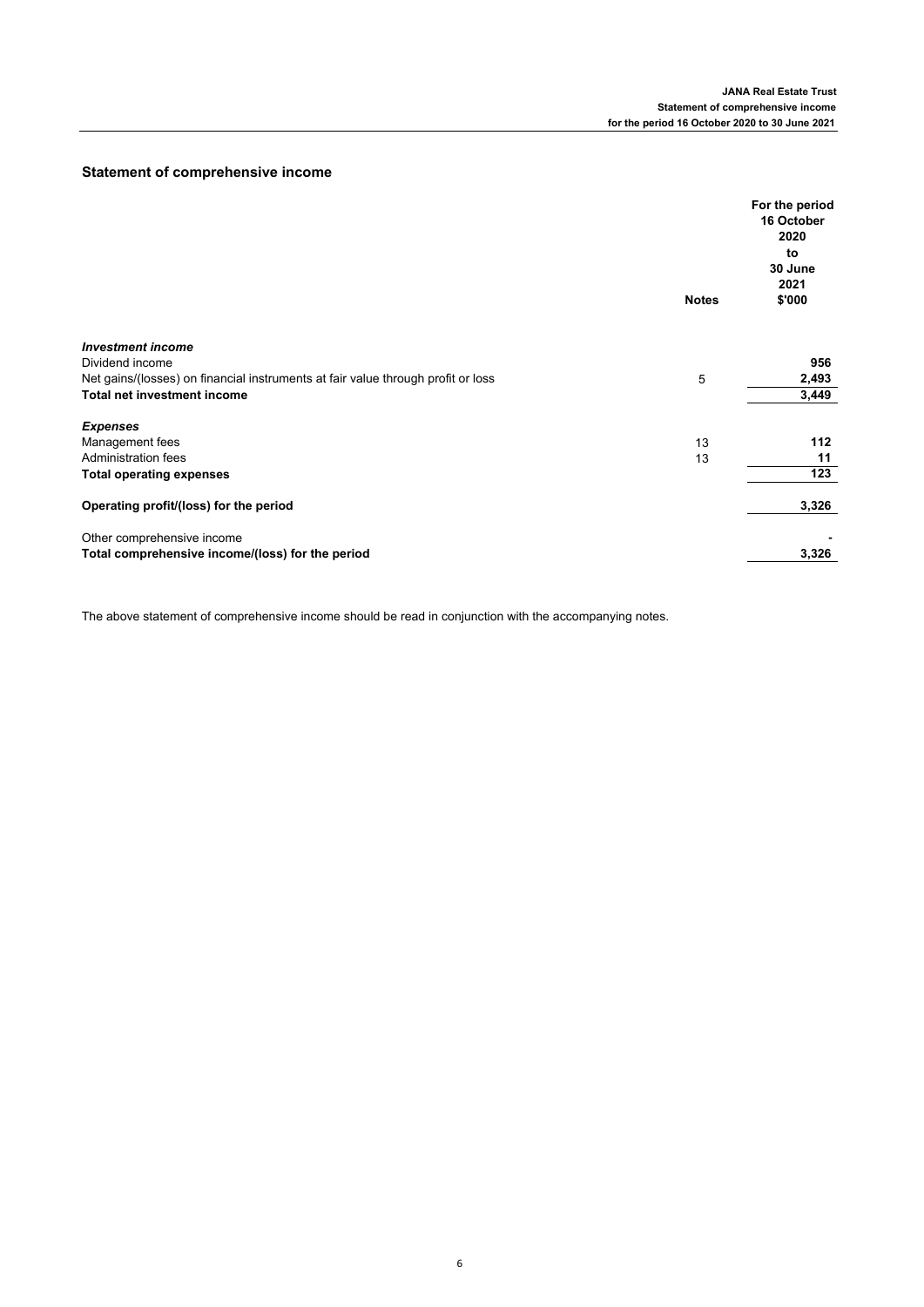# **Statement of comprehensive income**

|                                                                                  | <b>Notes</b> | For the period<br>16 October<br>2020<br>to<br>30 June<br>2021<br>\$'000 |
|----------------------------------------------------------------------------------|--------------|-------------------------------------------------------------------------|
|                                                                                  |              |                                                                         |
| <b>Investment income</b>                                                         |              |                                                                         |
| Dividend income                                                                  |              | 956                                                                     |
| Net gains/(losses) on financial instruments at fair value through profit or loss | 5            | 2,493                                                                   |
| <b>Total net investment income</b>                                               |              | 3,449                                                                   |
| <b>Expenses</b>                                                                  |              |                                                                         |
| Management fees                                                                  | 13           | 112                                                                     |
| Administration fees                                                              | 13           | 11                                                                      |
| <b>Total operating expenses</b>                                                  |              | 123                                                                     |
| Operating profit/(loss) for the period                                           |              | 3,326                                                                   |
| Other comprehensive income                                                       |              |                                                                         |
| Total comprehensive income/(loss) for the period                                 |              | 3,326                                                                   |

The above statement of comprehensive income should be read in conjunction with the accompanying notes.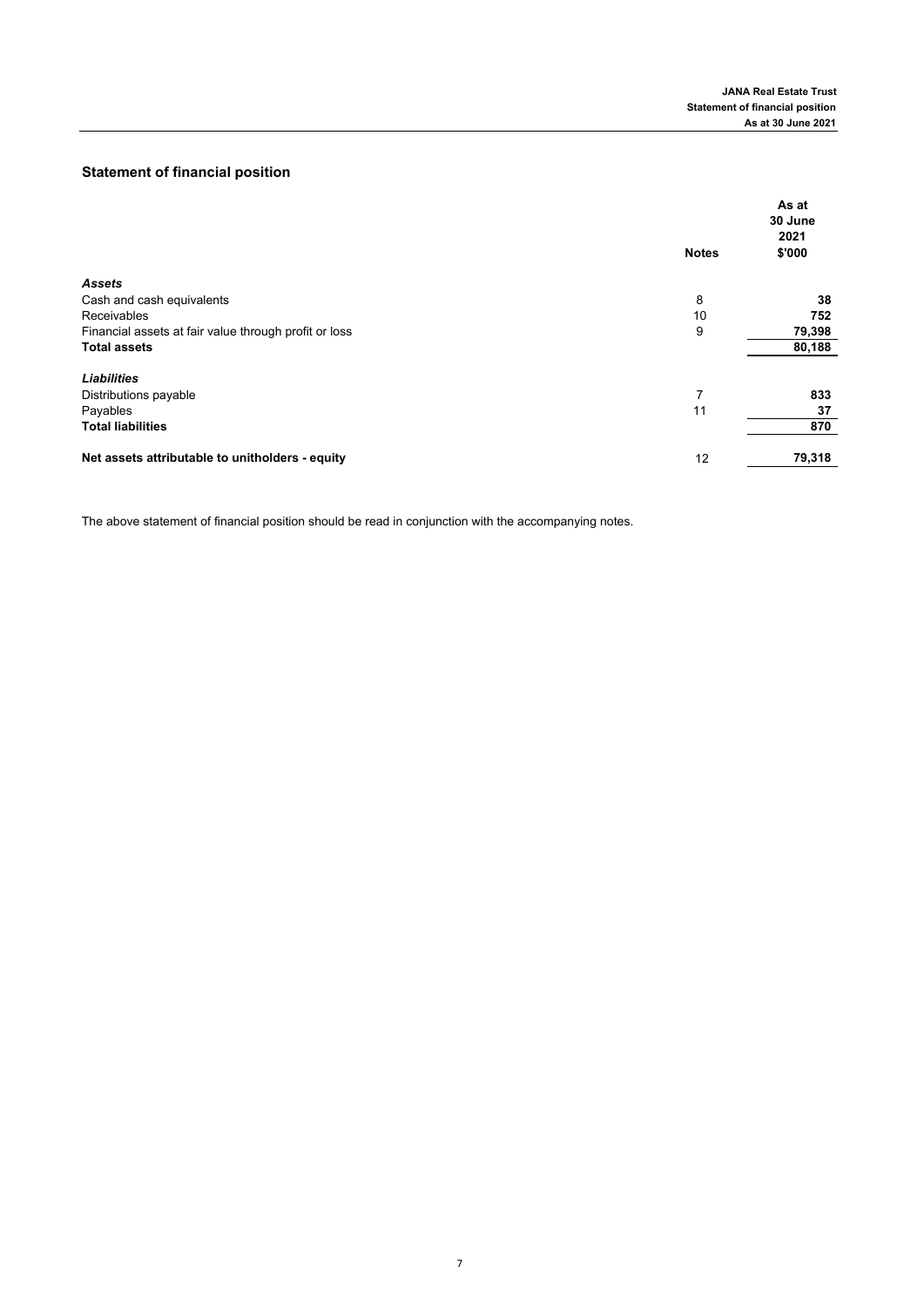# **Statement of financial position**

|                                                       | <b>Notes</b> | As at<br>30 June<br>2021<br>\$'000 |
|-------------------------------------------------------|--------------|------------------------------------|
| <b>Assets</b>                                         |              |                                    |
| Cash and cash equivalents                             | 8            | 38                                 |
| Receivables                                           | 10           | 752                                |
| Financial assets at fair value through profit or loss | 9            | 79,398                             |
| <b>Total assets</b>                                   |              | 80,188                             |
| <b>Liabilities</b>                                    |              |                                    |
| Distributions payable                                 | 7            | 833                                |
| Payables                                              | 11           | 37                                 |
| <b>Total liabilities</b>                              |              | 870                                |
| Net assets attributable to unitholders - equity       | 12           | 79,318                             |
|                                                       |              |                                    |

The above statement of financial position should be read in conjunction with the accompanying notes.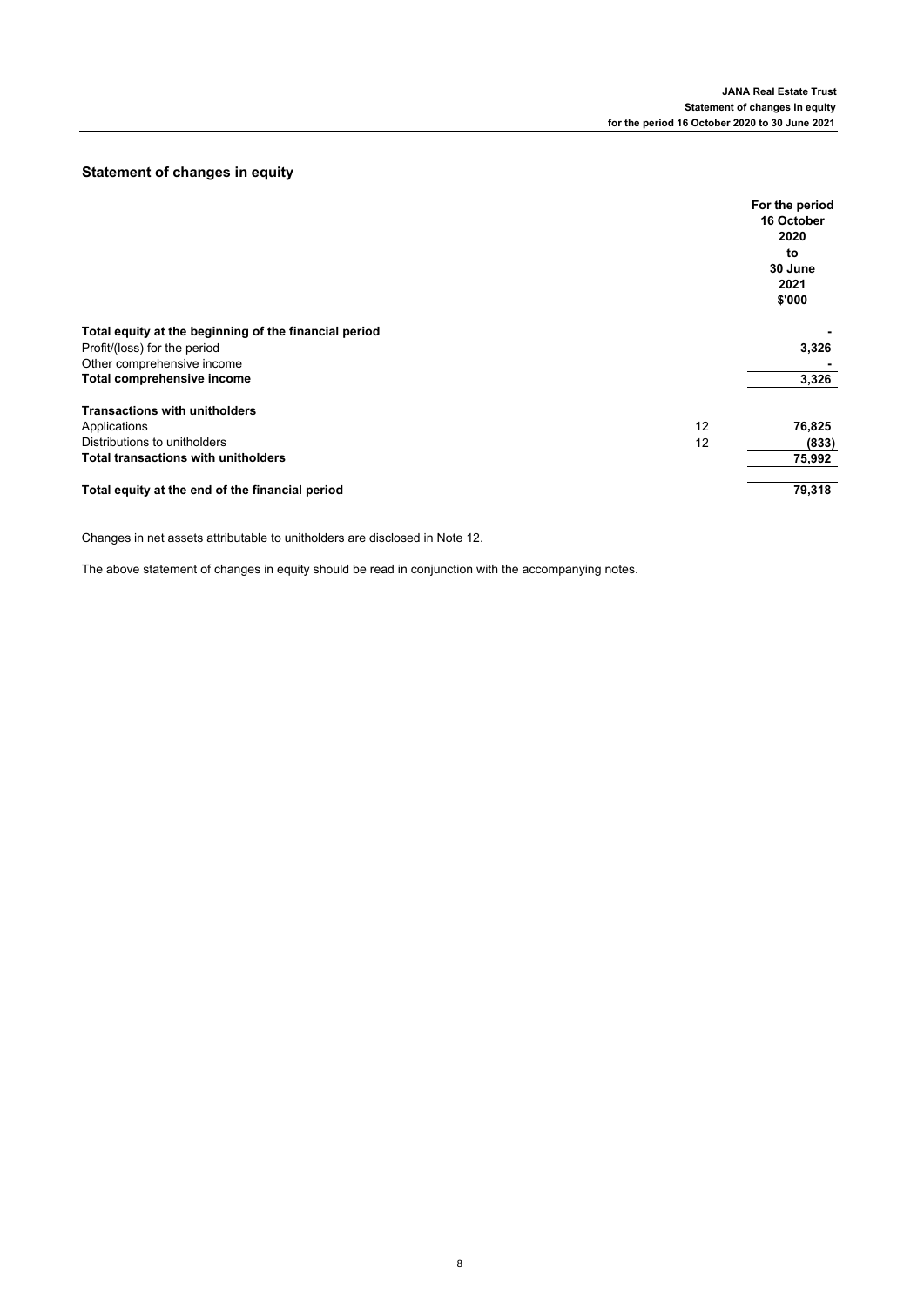# **Statement of changes in equity**

|                                                       |    | For the period<br>16 October<br>2020<br>to<br>30 June<br>2021<br>\$'000 |
|-------------------------------------------------------|----|-------------------------------------------------------------------------|
| Total equity at the beginning of the financial period |    |                                                                         |
| Profit/(loss) for the period                          |    | 3,326                                                                   |
| Other comprehensive income                            |    |                                                                         |
| Total comprehensive income                            |    | 3,326                                                                   |
| <b>Transactions with unitholders</b>                  |    |                                                                         |
| Applications                                          | 12 | 76,825                                                                  |
| Distributions to unitholders                          | 12 | (833)                                                                   |
| <b>Total transactions with unitholders</b>            |    | 75,992                                                                  |
| Total equity at the end of the financial period       |    | 79,318                                                                  |

Changes in net assets attributable to unitholders are disclosed in Note 12.

The above statement of changes in equity should be read in conjunction with the accompanying notes.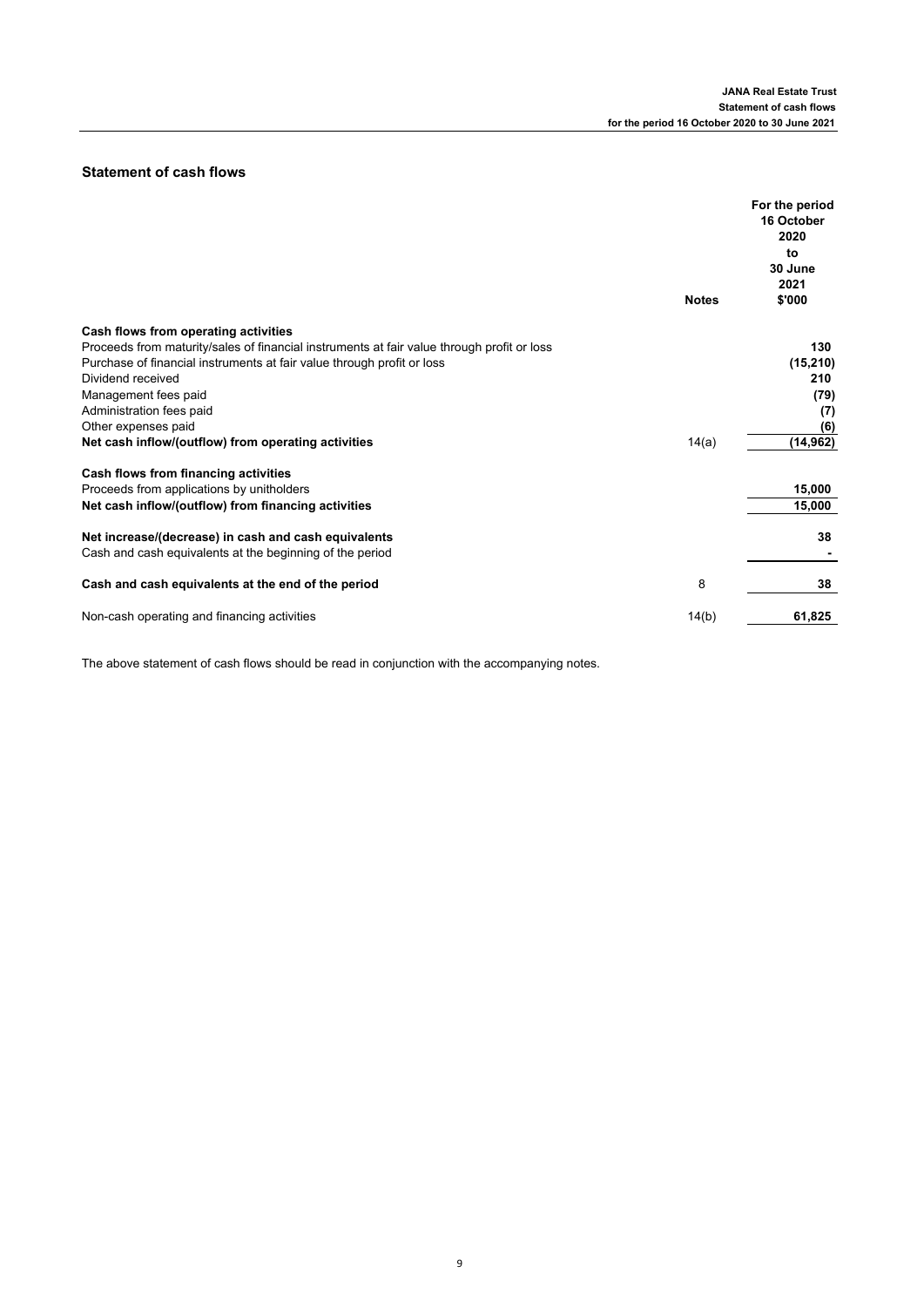# **Statement of cash flows**

|                                                                                            | <b>Notes</b> | For the period<br>16 October<br>2020<br>to<br>30 June<br>2021<br>\$'000 |
|--------------------------------------------------------------------------------------------|--------------|-------------------------------------------------------------------------|
|                                                                                            |              |                                                                         |
| Cash flows from operating activities                                                       |              |                                                                         |
| Proceeds from maturity/sales of financial instruments at fair value through profit or loss |              | 130                                                                     |
| Purchase of financial instruments at fair value through profit or loss                     |              | (15, 210)                                                               |
| Dividend received                                                                          |              | 210                                                                     |
| Management fees paid                                                                       |              | (79)                                                                    |
| Administration fees paid                                                                   |              | (7)                                                                     |
| Other expenses paid                                                                        |              | (6)                                                                     |
| Net cash inflow/(outflow) from operating activities                                        | 14(a)        | (14, 962)                                                               |
| Cash flows from financing activities                                                       |              |                                                                         |
| Proceeds from applications by unitholders                                                  |              | 15,000                                                                  |
| Net cash inflow/(outflow) from financing activities                                        |              | 15,000                                                                  |
| Net increase/(decrease) in cash and cash equivalents                                       |              | 38                                                                      |
| Cash and cash equivalents at the beginning of the period                                   |              |                                                                         |
| Cash and cash equivalents at the end of the period                                         | 8            | 38                                                                      |
| Non-cash operating and financing activities                                                | 14(b)        | 61,825                                                                  |

The above statement of cash flows should be read in conjunction with the accompanying notes.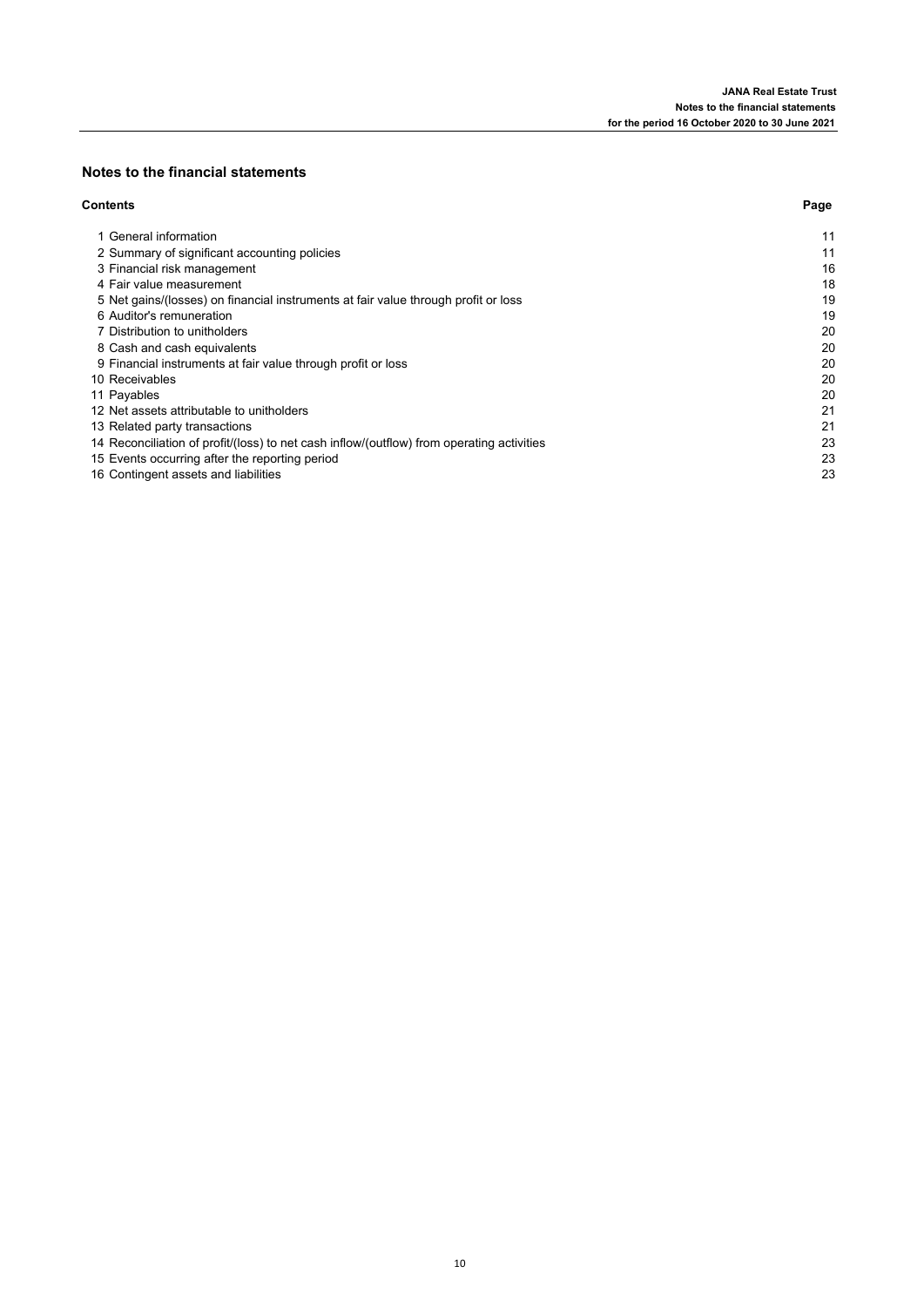# **Notes to the financial statements**

### **Contents Page**

| 1 General information                                                                     | 11 |
|-------------------------------------------------------------------------------------------|----|
| 2 Summary of significant accounting policies                                              | 11 |
| 3 Financial risk management                                                               | 16 |
| 4 Fair value measurement                                                                  | 18 |
| 5 Net gains/(losses) on financial instruments at fair value through profit or loss        | 19 |
| 6 Auditor's remuneration                                                                  | 19 |
| 7 Distribution to unitholders                                                             | 20 |
| 8 Cash and cash equivalents                                                               | 20 |
| 9 Financial instruments at fair value through profit or loss                              | 20 |
| 10 Receivables                                                                            | 20 |
| 11 Payables                                                                               | 20 |
| 12 Net assets attributable to unitholders                                                 | 21 |
| 13 Related party transactions                                                             | 21 |
| 14 Reconciliation of profit/(loss) to net cash inflow/(outflow) from operating activities | 23 |
| 15 Events occurring after the reporting period                                            | 23 |
| 16 Contingent assets and liabilities                                                      | 23 |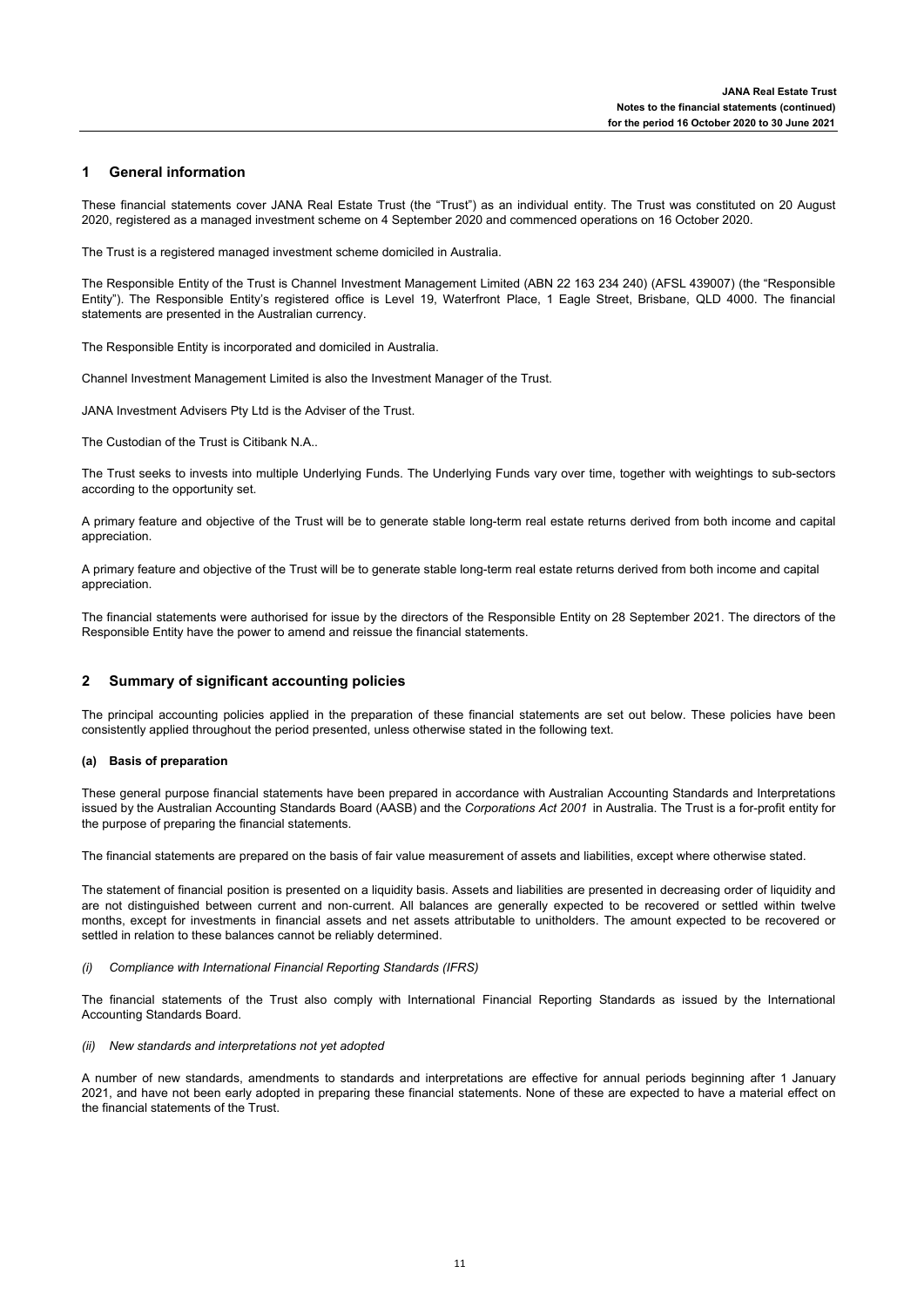#### **1 General information**

These financial statements cover JANA Real Estate Trust (the "Trust") as an individual entity. The Trust was constituted on 20 August 2020, registered as a managed investment scheme on 4 September 2020 and commenced operations on 16 October 2020.

The Trust is a registered managed investment scheme domiciled in Australia.

The Responsible Entity of the Trust is Channel Investment Management Limited (ABN 22 163 234 240) (AFSL 439007) (the "Responsible Entity"). The Responsible Entity's registered office is Level 19, Waterfront Place, 1 Eagle Street, Brisbane, QLD 4000. The financial statements are presented in the Australian currency.

The Responsible Entity is incorporated and domiciled in Australia.

Channel Investment Management Limited is also the Investment Manager of the Trust.

JANA Investment Advisers Pty Ltd is the Adviser of the Trust.

The Custodian of the Trust is Citibank N.A..

The Trust seeks to invests into multiple Underlying Funds. The Underlying Funds vary over time, together with weightings to sub-sectors according to the opportunity set.

A primary feature and objective of the Trust will be to generate stable long-term real estate returns derived from both income and capital appreciation.

A primary feature and objective of the Trust will be to generate stable long-term real estate returns derived from both income and capital appreciation.

The financial statements were authorised for issue by the directors of the Responsible Entity on 28 September 2021. The directors of the Responsible Entity have the power to amend and reissue the financial statements.

#### **2 Summary of significant accounting policies**

The principal accounting policies applied in the preparation of these financial statements are set out below. These policies have been consistently applied throughout the period presented, unless otherwise stated in the following text.

### **(a) Basis of preparation**

These general purpose financial statements have been prepared in accordance with Australian Accounting Standards and Interpretations issued by the Australian Accounting Standards Board (AASB) and the *Corporations Act 2001* in Australia. The Trust is a for-profit entity for the purpose of preparing the financial statements.

The financial statements are prepared on the basis of fair value measurement of assets and liabilities, except where otherwise stated.

The statement of financial position is presented on a liquidity basis. Assets and liabilities are presented in decreasing order of liquidity and are not distinguished between current and non-current. All balances are generally expected to be recovered or settled within twelve months, except for investments in financial assets and net assets attributable to unitholders. The amount expected to be recovered or settled in relation to these balances cannot be reliably determined.

### *(i) Compliance with International Financial Reporting Standards (IFRS)*

The financial statements of the Trust also comply with International Financial Reporting Standards as issued by the International Accounting Standards Board.

### *(ii) New standards and interpretations not yet adopted*

A number of new standards, amendments to standards and interpretations are effective for annual periods beginning after 1 January 2021, and have not been early adopted in preparing these financial statements. None of these are expected to have a material effect on the financial statements of the Trust.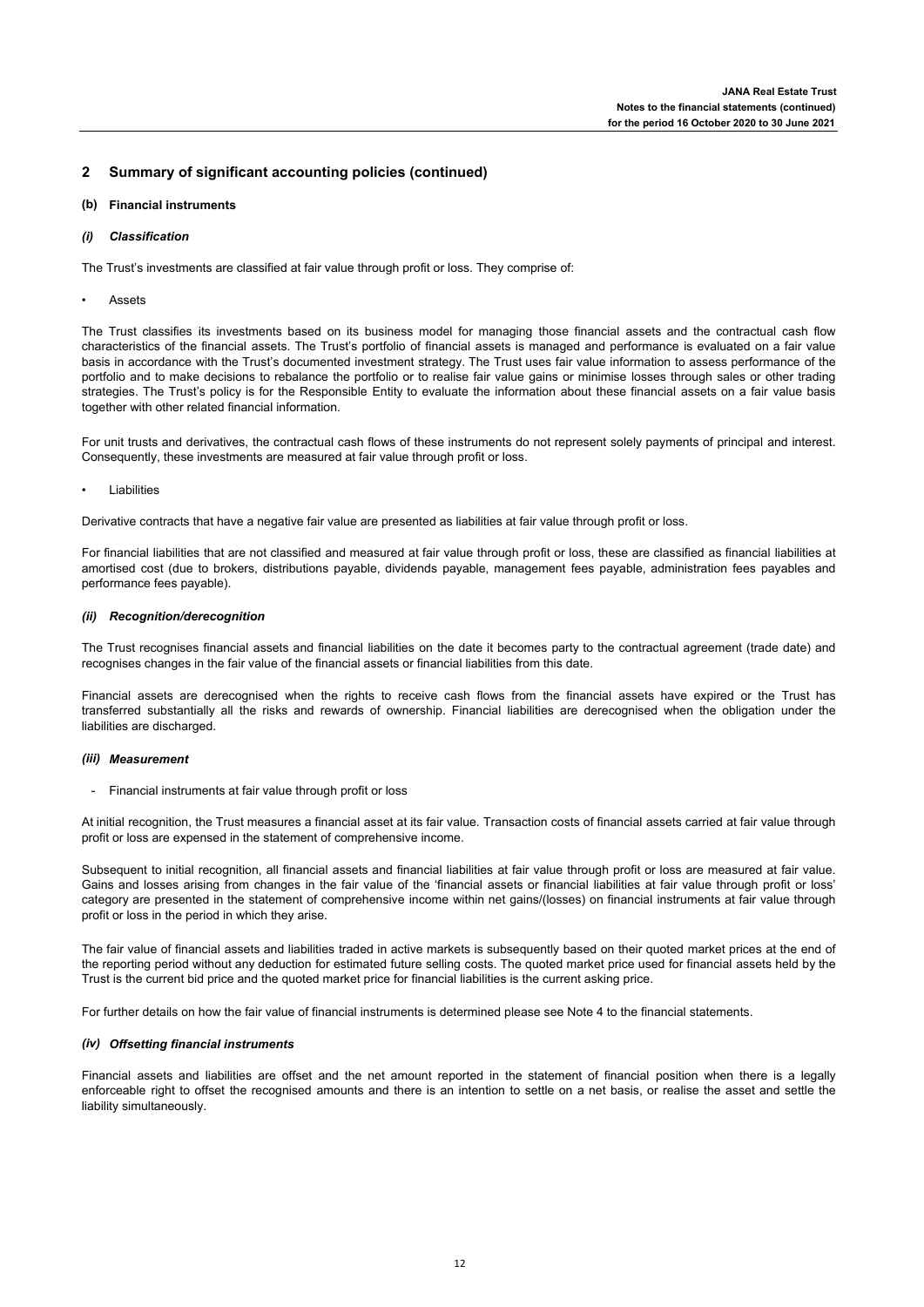### **(b) Financial instruments**

### *(i) Classification*

The Trust's investments are classified at fair value through profit or loss. They comprise of:

**Assets** 

The Trust classifies its investments based on its business model for managing those financial assets and the contractual cash flow characteristics of the financial assets. The Trust's portfolio of financial assets is managed and performance is evaluated on a fair value basis in accordance with the Trust's documented investment strategy. The Trust uses fair value information to assess performance of the portfolio and to make decisions to rebalance the portfolio or to realise fair value gains or minimise losses through sales or other trading strategies. The Trust's policy is for the Responsible Entity to evaluate the information about these financial assets on a fair value basis together with other related financial information.

For unit trusts and derivatives, the contractual cash flows of these instruments do not represent solely payments of principal and interest. Consequently, these investments are measured at fair value through profit or loss.

• Liabilities

Derivative contracts that have a negative fair value are presented as liabilities at fair value through profit or loss.

For financial liabilities that are not classified and measured at fair value through profit or loss, these are classified as financial liabilities at amortised cost (due to brokers, distributions payable, dividends payable, management fees payable, administration fees payables and performance fees payable).

### *(ii) Recognition/derecognition*

The Trust recognises financial assets and financial liabilities on the date it becomes party to the contractual agreement (trade date) and recognises changes in the fair value of the financial assets or financial liabilities from this date.

Financial assets are derecognised when the rights to receive cash flows from the financial assets have expired or the Trust has transferred substantially all the risks and rewards of ownership. Financial liabilities are derecognised when the obligation under the liabilities are discharged.

### *(iii) Measurement*

Financial instruments at fair value through profit or loss

At initial recognition, the Trust measures a financial asset at its fair value. Transaction costs of financial assets carried at fair value through profit or loss are expensed in the statement of comprehensive income.

Subsequent to initial recognition, all financial assets and financial liabilities at fair value through profit or loss are measured at fair value. Gains and losses arising from changes in the fair value of the 'financial assets or financial liabilities at fair value through profit or loss' category are presented in the statement of comprehensive income within net gains/(losses) on financial instruments at fair value through profit or loss in the period in which they arise.

The fair value of financial assets and liabilities traded in active markets is subsequently based on their quoted market prices at the end of the reporting period without any deduction for estimated future selling costs. The quoted market price used for financial assets held by the Trust is the current bid price and the quoted market price for financial liabilities is the current asking price.

For further details on how the fair value of financial instruments is determined please see Note 4 to the financial statements.

### *(iv) Offsetting financial instruments*

Financial assets and liabilities are offset and the net amount reported in the statement of financial position when there is a legally enforceable right to offset the recognised amounts and there is an intention to settle on a net basis, or realise the asset and settle the liability simultaneously.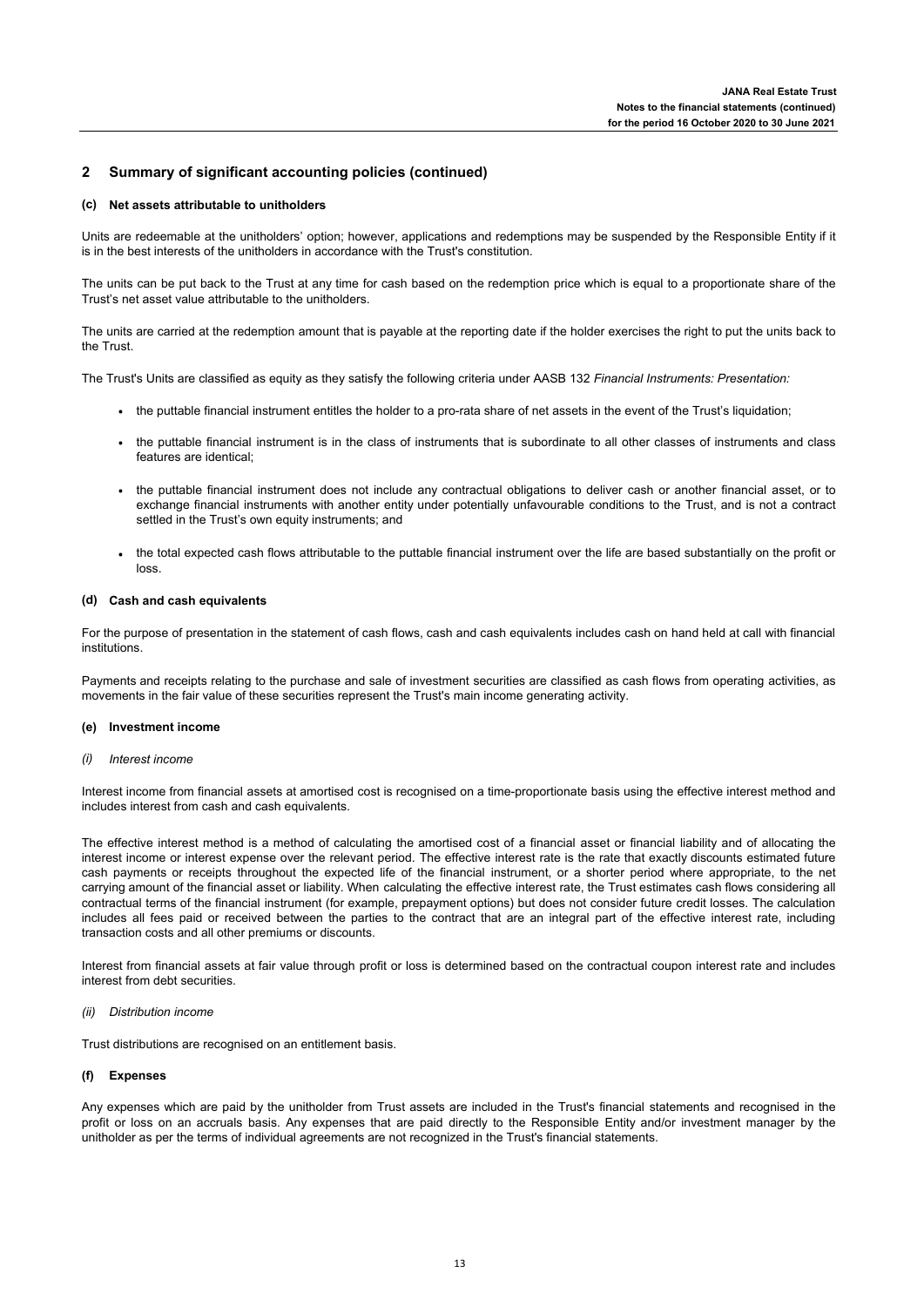### **(c) Net assets attributable to unitholders**

Units are redeemable at the unitholders' option; however, applications and redemptions may be suspended by the Responsible Entity if it is in the best interests of the unitholders in accordance with the Trust's constitution.

The units can be put back to the Trust at any time for cash based on the redemption price which is equal to a proportionate share of the Trust's net asset value attributable to the unitholders.

The units are carried at the redemption amount that is payable at the reporting date if the holder exercises the right to put the units back to the Trust.

The Trust's Units are classified as equity as they satisfy the following criteria under AASB 132 *Financial Instruments: Presentation:*

- **·** the puttable financial instrument entitles the holder to a pro-rata share of net assets in the event of the Trust's liquidation;
- **·** the puttable financial instrument is in the class of instruments that is subordinate to all other classes of instruments and class features are identical;
- **·** the puttable financial instrument does not include any contractual obligations to deliver cash or another financial asset, or to exchange financial instruments with another entity under potentially unfavourable conditions to the Trust, and is not a contract settled in the Trust's own equity instruments; and
- **·** the total expected cash flows attributable to the puttable financial instrument over the life are based substantially on the profit or loss.

### **(d) Cash and cash equivalents**

For the purpose of presentation in the statement of cash flows, cash and cash equivalents includes cash on hand held at call with financial institutions.

Payments and receipts relating to the purchase and sale of investment securities are classified as cash flows from operating activities, as movements in the fair value of these securities represent the Trust's main income generating activity.

### **(e) Investment income**

*(i) Interest income*

Interest income from financial assets at amortised cost is recognised on a time-proportionate basis using the effective interest method and includes interest from cash and cash equivalents.

The effective interest method is a method of calculating the amortised cost of a financial asset or financial liability and of allocating the interest income or interest expense over the relevant period. The effective interest rate is the rate that exactly discounts estimated future cash payments or receipts throughout the expected life of the financial instrument, or a shorter period where appropriate, to the net carrying amount of the financial asset or liability. When calculating the effective interest rate, the Trust estimates cash flows considering all contractual terms of the financial instrument (for example, prepayment options) but does not consider future credit losses. The calculation includes all fees paid or received between the parties to the contract that are an integral part of the effective interest rate, including transaction costs and all other premiums or discounts.

Interest from financial assets at fair value through profit or loss is determined based on the contractual coupon interest rate and includes interest from debt securities.

### *(ii) Distribution income*

Trust distributions are recognised on an entitlement basis.

### **(f) Expenses**

Any expenses which are paid by the unitholder from Trust assets are included in the Trust's financial statements and recognised in the profit or loss on an accruals basis. Any expenses that are paid directly to the Responsible Entity and/or investment manager by the unitholder as per the terms of individual agreements are not recognized in the Trust's financial statements.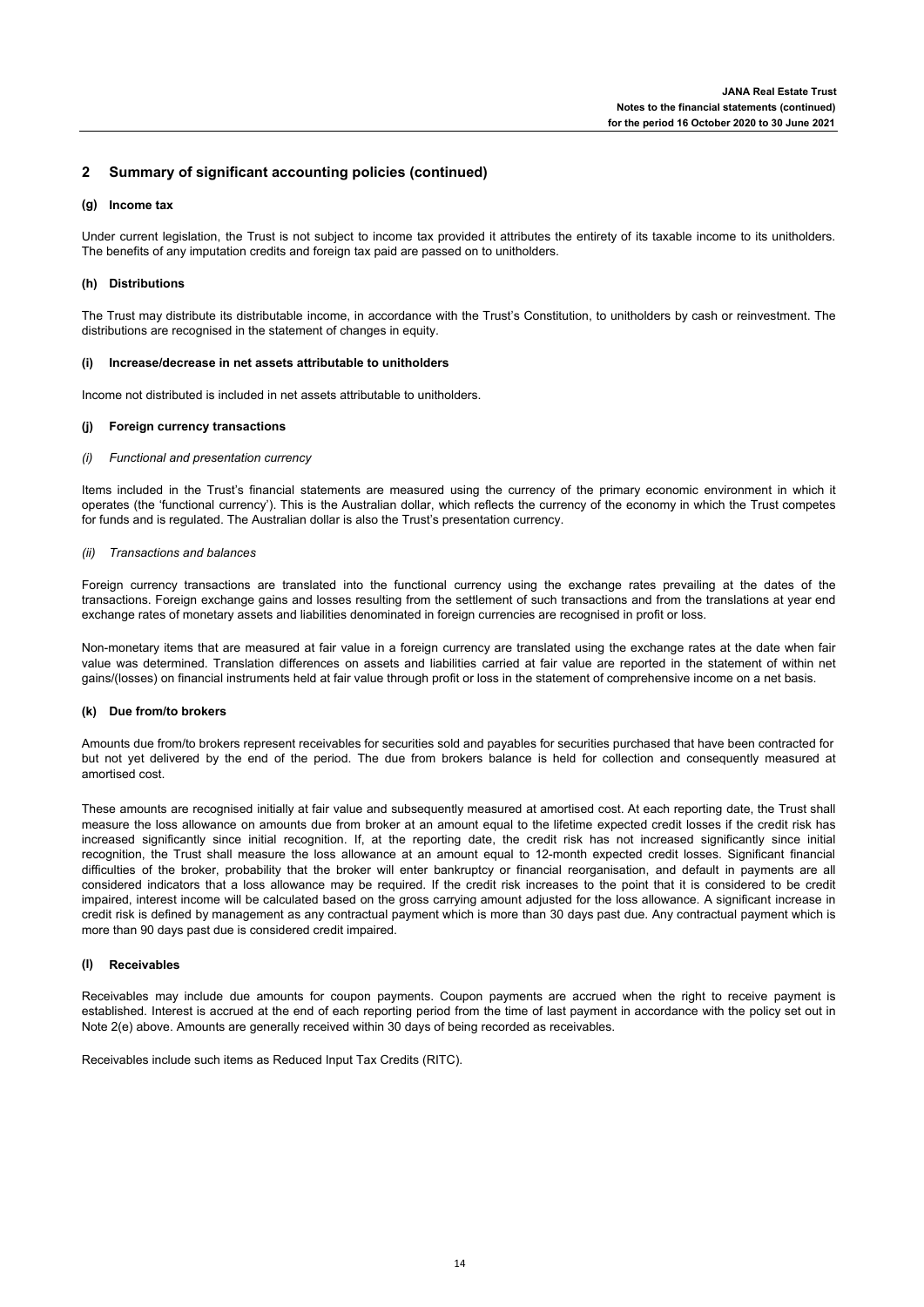### **(g) Income tax**

Under current legislation, the Trust is not subject to income tax provided it attributes the entirety of its taxable income to its unitholders. The benefits of any imputation credits and foreign tax paid are passed on to unitholders.

### **(h) Distributions**

The Trust may distribute its distributable income, in accordance with the Trust's Constitution, to unitholders by cash or reinvestment. The distributions are recognised in the statement of changes in equity.

### **(i) Increase/decrease in net assets attributable to unitholders**

Income not distributed is included in net assets attributable to unitholders.

### **(j) Foreign currency transactions**

### *(i) Functional and presentation currency*

Items included in the Trust's financial statements are measured using the currency of the primary economic environment in which it operates (the 'functional currency'). This is the Australian dollar, which reflects the currency of the economy in which the Trust competes for funds and is regulated. The Australian dollar is also the Trust's presentation currency.

### *(ii) Transactions and balances*

Foreign currency transactions are translated into the functional currency using the exchange rates prevailing at the dates of the transactions. Foreign exchange gains and losses resulting from the settlement of such transactions and from the translations at year end exchange rates of monetary assets and liabilities denominated in foreign currencies are recognised in profit or loss.

Non-monetary items that are measured at fair value in a foreign currency are translated using the exchange rates at the date when fair value was determined. Translation differences on assets and liabilities carried at fair value are reported in the statement of within net gains/(losses) on financial instruments held at fair value through profit or loss in the statement of comprehensive income on a net basis.

### **(k) Due from/to brokers**

Amounts due from/to brokers represent receivables for securities sold and payables for securities purchased that have been contracted for but not yet delivered by the end of the period. The due from brokers balance is held for collection and consequently measured at amortised cost.

These amounts are recognised initially at fair value and subsequently measured at amortised cost. At each reporting date, the Trust shall measure the loss allowance on amounts due from broker at an amount equal to the lifetime expected credit losses if the credit risk has increased significantly since initial recognition. If, at the reporting date, the credit risk has not increased significantly since initial recognition, the Trust shall measure the loss allowance at an amount equal to 12-month expected credit losses. Significant financial difficulties of the broker, probability that the broker will enter bankruptcy or financial reorganisation, and default in payments are all considered indicators that a loss allowance may be required. If the credit risk increases to the point that it is considered to be credit impaired, interest income will be calculated based on the gross carrying amount adjusted for the loss allowance. A significant increase in credit risk is defined by management as any contractual payment which is more than 30 days past due. Any contractual payment which is more than 90 days past due is considered credit impaired.

### **(l) Receivables**

Receivables may include due amounts for coupon payments. Coupon payments are accrued when the right to receive payment is established. Interest is accrued at the end of each reporting period from the time of last payment in accordance with the policy set out in Note 2(e) above. Amounts are generally received within 30 days of being recorded as receivables.

Receivables include such items as Reduced Input Tax Credits (RITC).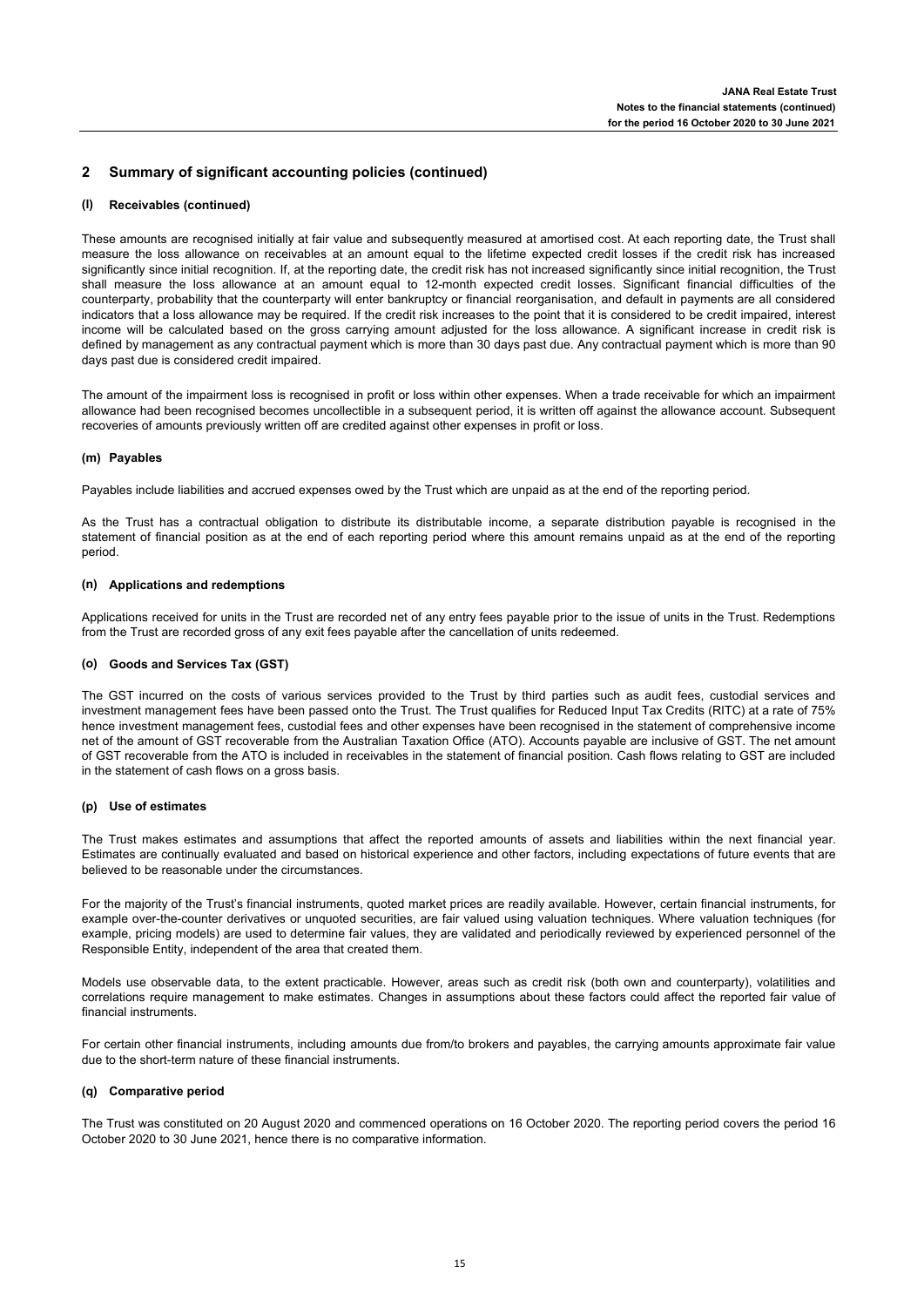### **(l) Receivables (continued)**

These amounts are recognised initially at fair value and subsequently measured at amortised cost. At each reporting date, the Trust shall measure the loss allowance on receivables at an amount equal to the lifetime expected credit losses if the credit risk has increased significantly since initial recognition. If, at the reporting date, the credit risk has not increased significantly since initial recognition, the Trust shall measure the loss allowance at an amount equal to 12-month expected credit losses. Significant financial difficulties of the counterparty, probability that the counterparty will enter bankruptcy or financial reorganisation, and default in payments are all considered indicators that a loss allowance may be required. If the credit risk increases to the point that it is considered to be credit impaired, interest income will be calculated based on the gross carrying amount adjusted for the loss allowance. A significant increase in credit risk is defined by management as any contractual payment which is more than 30 days past due. Any contractual payment which is more than 90 days past due is considered credit impaired.

The amount of the impairment loss is recognised in profit or loss within other expenses. When a trade receivable for which an impairment allowance had been recognised becomes uncollectible in a subsequent period, it is written off against the allowance account. Subsequent recoveries of amounts previously written off are credited against other expenses in profit or loss.

### **(m) Payables**

Payables include liabilities and accrued expenses owed by the Trust which are unpaid as at the end of the reporting period.

As the Trust has a contractual obligation to distribute its distributable income, a separate distribution payable is recognised in the statement of financial position as at the end of each reporting period where this amount remains unpaid as at the end of the reporting period.

### **(n) Applications and redemptions**

Applications received for units in the Trust are recorded net of any entry fees payable prior to the issue of units in the Trust. Redemptions from the Trust are recorded gross of any exit fees payable after the cancellation of units redeemed.

### **(o) Goods and Services Tax (GST)**

The GST incurred on the costs of various services provided to the Trust by third parties such as audit fees, custodial services and investment management fees have been passed onto the Trust. The Trust qualifies for Reduced Input Tax Credits (RITC) at a rate of 75% hence investment management fees, custodial fees and other expenses have been recognised in the statement of comprehensive income net of the amount of GST recoverable from the Australian Taxation Office (ATO). Accounts payable are inclusive of GST. The net amount of GST recoverable from the ATO is included in receivables in the statement of financial position. Cash flows relating to GST are included in the statement of cash flows on a gross basis.

### **(p) Use of estimates**

The Trust makes estimates and assumptions that affect the reported amounts of assets and liabilities within the next financial year. Estimates are continually evaluated and based on historical experience and other factors, including expectations of future events that are believed to be reasonable under the circumstances.

For the majority of the Trust's financial instruments, quoted market prices are readily available. However, certain financial instruments, for example over-the-counter derivatives or unquoted securities, are fair valued using valuation techniques. Where valuation techniques (for example, pricing models) are used to determine fair values, they are validated and periodically reviewed by experienced personnel of the Responsible Entity, independent of the area that created them.

Models use observable data, to the extent practicable. However, areas such as credit risk (both own and counterparty), volatilities and correlations require management to make estimates. Changes in assumptions about these factors could affect the reported fair value of financial instruments.

For certain other financial instruments, including amounts due from/to brokers and payables, the carrying amounts approximate fair value due to the short-term nature of these financial instruments.

### **(q) Comparative period**

The Trust was constituted on 20 August 2020 and commenced operations on 16 October 2020. The reporting period covers the period 16 October 2020 to 30 June 2021, hence there is no comparative information.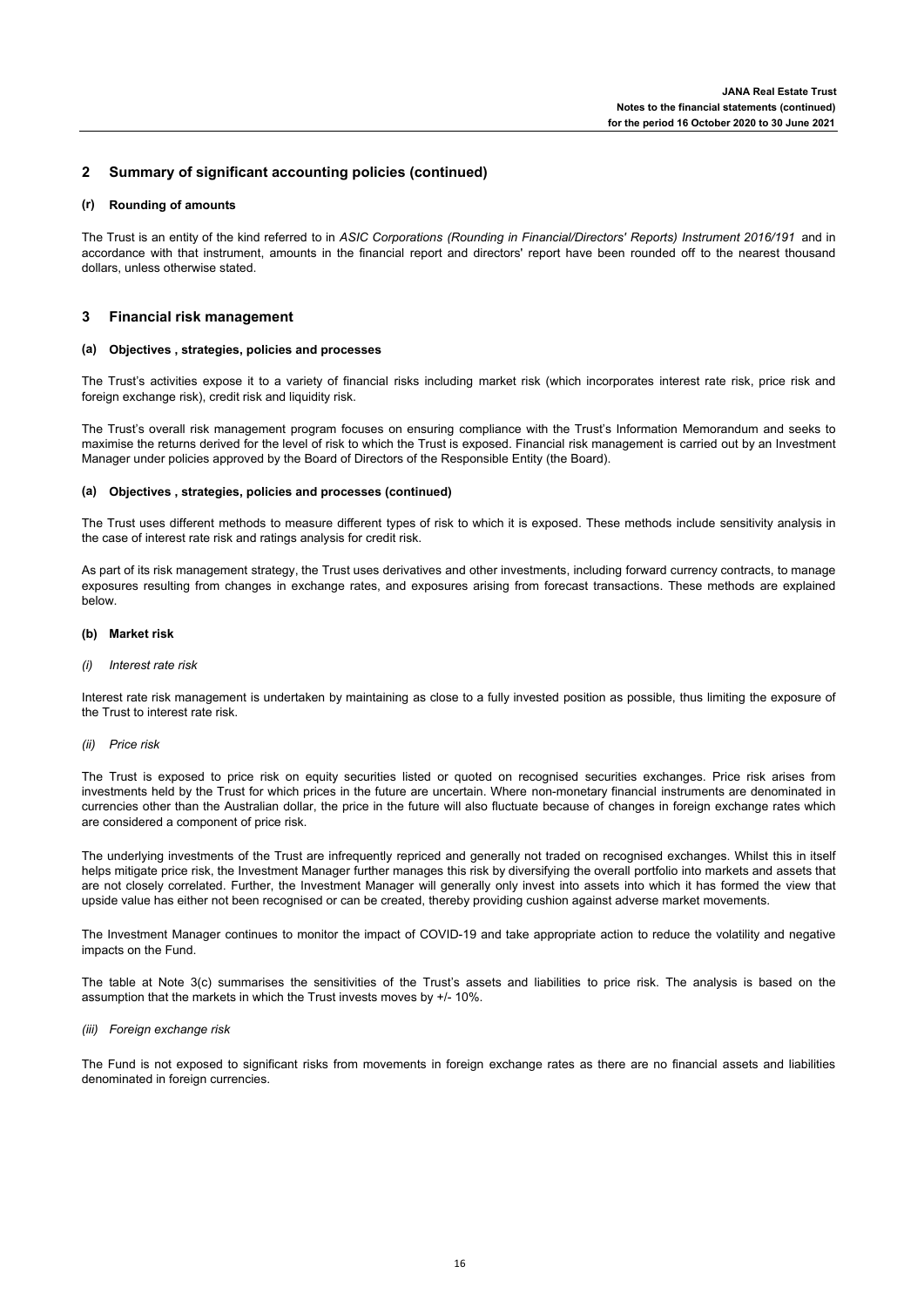### **(r) Rounding of amounts**

The Trust is an entity of the kind referred to in *ASIC Corporations (Rounding in Financial/Directors' Reports) Instrument 2016/191* and in accordance with that instrument, amounts in the financial report and directors' report have been rounded off to the nearest thousand dollars, unless otherwise stated.

#### **3 Financial risk management**

### **(a) Objectives , strategies, policies and processes**

The Trust's activities expose it to a variety of financial risks including market risk (which incorporates interest rate risk, price risk and foreign exchange risk), credit risk and liquidity risk.

The Trust's overall risk management program focuses on ensuring compliance with the Trust's Information Memorandum and seeks to maximise the returns derived for the level of risk to which the Trust is exposed. Financial risk management is carried out by an Investment Manager under policies approved by the Board of Directors of the Responsible Entity (the Board).

### **(a) Objectives , strategies, policies and processes (continued)**

The Trust uses different methods to measure different types of risk to which it is exposed. These methods include sensitivity analysis in the case of interest rate risk and ratings analysis for credit risk.

As part of its risk management strategy, the Trust uses derivatives and other investments, including forward currency contracts, to manage exposures resulting from changes in exchange rates, and exposures arising from forecast transactions. These methods are explained below.

### **(b) Market risk**

#### *(i) Interest rate risk*

Interest rate risk management is undertaken by maintaining as close to a fully invested position as possible, thus limiting the exposure of the Trust to interest rate risk.

### *(ii) Price risk*

The Trust is exposed to price risk on equity securities listed or quoted on recognised securities exchanges. Price risk arises from investments held by the Trust for which prices in the future are uncertain. Where non-monetary financial instruments are denominated in currencies other than the Australian dollar, the price in the future will also fluctuate because of changes in foreign exchange rates which are considered a component of price risk.

The underlying investments of the Trust are infrequently repriced and generally not traded on recognised exchanges. Whilst this in itself helps mitigate price risk, the Investment Manager further manages this risk by diversifying the overall portfolio into markets and assets that are not closely correlated. Further, the Investment Manager will generally only invest into assets into which it has formed the view that upside value has either not been recognised or can be created, thereby providing cushion against adverse market movements.

The Investment Manager continues to monitor the impact of COVID-19 and take appropriate action to reduce the volatility and negative impacts on the Fund.

The table at Note 3(c) summarises the sensitivities of the Trust's assets and liabilities to price risk. The analysis is based on the assumption that the markets in which the Trust invests moves by +/- 10%.

### *(iii) Foreign exchange risk*

The Fund is not exposed to significant risks from movements in foreign exchange rates as there are no financial assets and liabilities denominated in foreign currencies.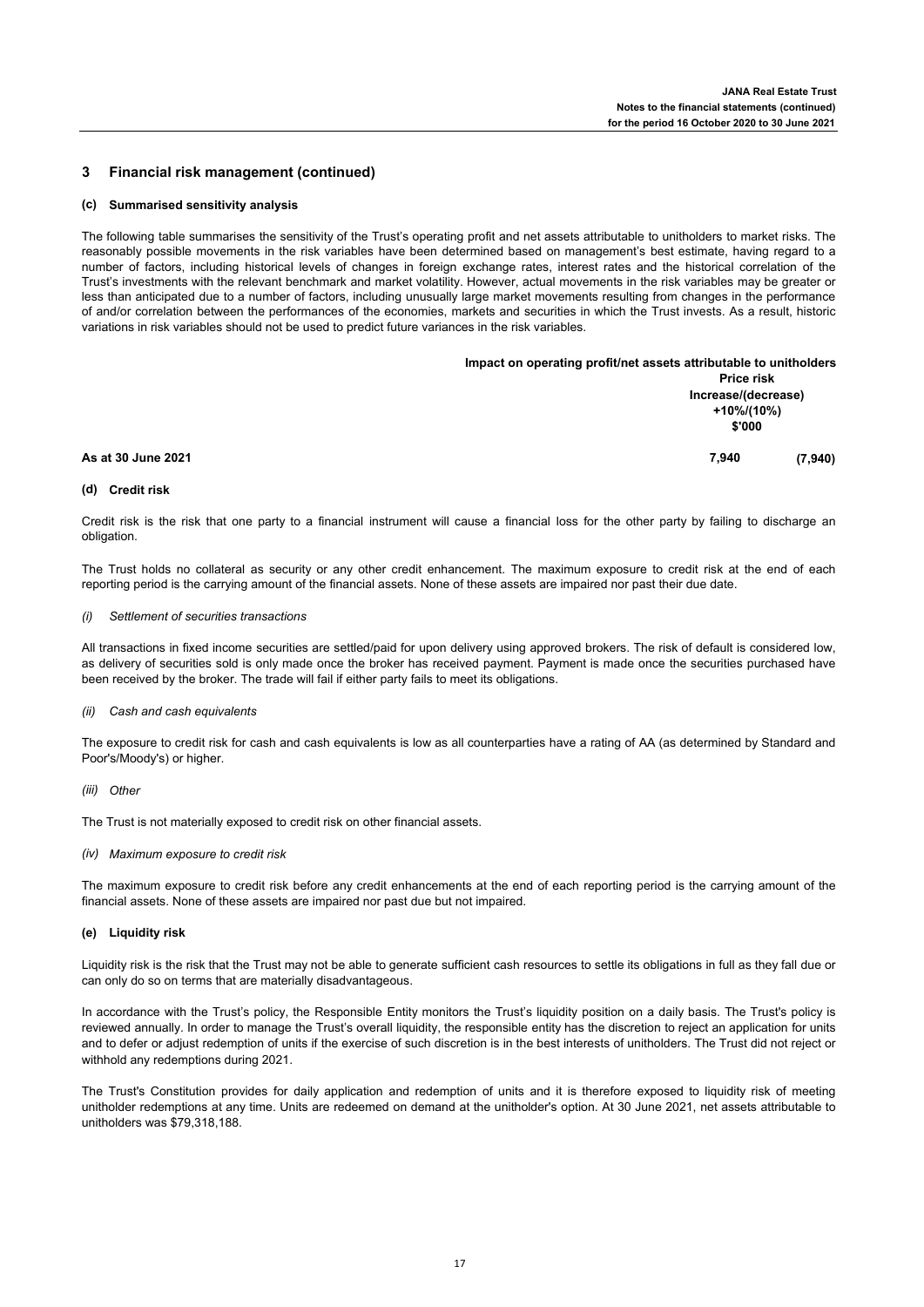#### **3 Financial risk management (continued)**

#### **(c) Summarised sensitivity analysis**

The following table summarises the sensitivity of the Trust's operating profit and net assets attributable to unitholders to market risks. The reasonably possible movements in the risk variables have been determined based on management's best estimate, having regard to a number of factors, including historical levels of changes in foreign exchange rates, interest rates and the historical correlation of the Trust's investments with the relevant benchmark and market volatility. However, actual movements in the risk variables may be greater or less than anticipated due to a number of factors, including unusually large market movements resulting from changes in the performance of and/or correlation between the performances of the economies, markets and securities in which the Trust invests. As a result, historic variations in risk variables should not be used to predict future variances in the risk variables.

|                    | Impact on operating profit/net assets attributable to unitholders |  |
|--------------------|-------------------------------------------------------------------|--|
|                    | <b>Price risk</b>                                                 |  |
|                    | Increase/(decrease)                                               |  |
|                    | +10%/(10%)                                                        |  |
|                    | \$'000                                                            |  |
| As at 30 June 2021 | (7, 940)<br>7.940                                                 |  |
|                    |                                                                   |  |

### **(d) Credit risk**

Credit risk is the risk that one party to a financial instrument will cause a financial loss for the other party by failing to discharge an obligation.

The Trust holds no collateral as security or any other credit enhancement. The maximum exposure to credit risk at the end of each reporting period is the carrying amount of the financial assets. None of these assets are impaired nor past their due date.

### *(i) Settlement of securities transactions*

All transactions in fixed income securities are settled/paid for upon delivery using approved brokers. The risk of default is considered low, as delivery of securities sold is only made once the broker has received payment. Payment is made once the securities purchased have been received by the broker. The trade will fail if either party fails to meet its obligations.

### *(ii) Cash and cash equivalents*

The exposure to credit risk for cash and cash equivalents is low as all counterparties have a rating of AA (as determined by Standard and Poor's/Moody's) or higher.

*(iii) Other*

The Trust is not materially exposed to credit risk on other financial assets.

*(iv) Maximum exposure to credit risk*

The maximum exposure to credit risk before any credit enhancements at the end of each reporting period is the carrying amount of the financial assets. None of these assets are impaired nor past due but not impaired.

### **(e) Liquidity risk**

Liquidity risk is the risk that the Trust may not be able to generate sufficient cash resources to settle its obligations in full as they fall due or can only do so on terms that are materially disadvantageous.

In accordance with the Trust's policy, the Responsible Entity monitors the Trust's liquidity position on a daily basis. The Trust's policy is reviewed annually. In order to manage the Trust's overall liquidity, the responsible entity has the discretion to reject an application for units and to defer or adjust redemption of units if the exercise of such discretion is in the best interests of unitholders. The Trust did not reject or withhold any redemptions during 2021.

The Trust's Constitution provides for daily application and redemption of units and it is therefore exposed to liquidity risk of meeting unitholder redemptions at any time. Units are redeemed on demand at the unitholder's option. At 30 June 2021, net assets attributable to unitholders was \$79,318,188.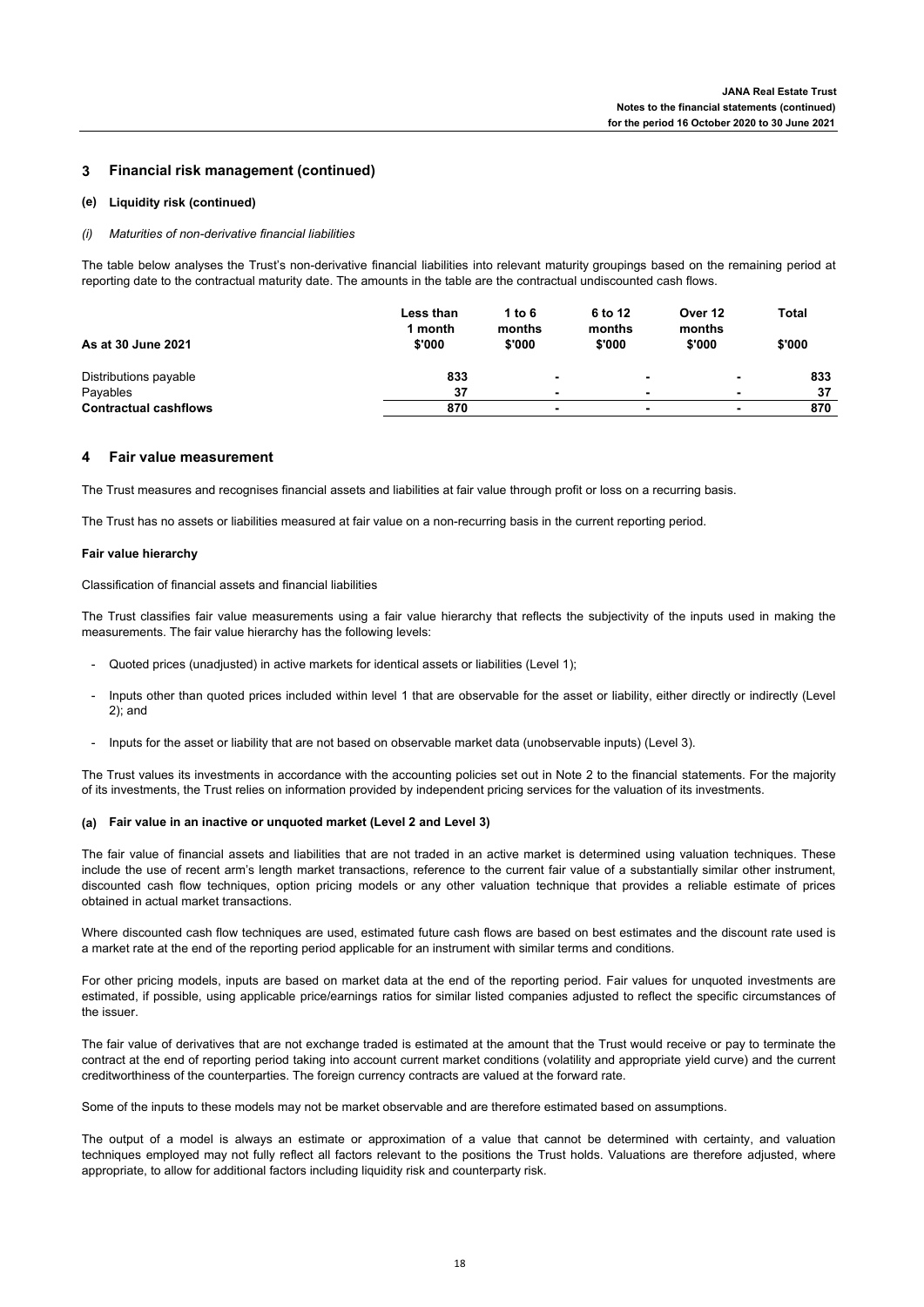#### **3 Financial risk management (continued)**

### **(e) Liquidity risk (continued)**

### *(i) Maturities of non-derivative financial liabilities*

The table below analyses the Trust's non-derivative financial liabilities into relevant maturity groupings based on the remaining period at reporting date to the contractual maturity date. The amounts in the table are the contractual undiscounted cash flows.

|                              | Less than<br>1 month | 1 to 6<br>months | 6 to 12<br>months | Over 12<br>months | <b>Total</b> |
|------------------------------|----------------------|------------------|-------------------|-------------------|--------------|
| As at 30 June 2021           | \$'000               | \$'000           | \$'000            | \$'000            | \$'000       |
| Distributions payable        | 833                  | ۰                | ۰                 |                   | 833          |
| Payables                     | 37                   |                  |                   |                   | 37           |
| <b>Contractual cashflows</b> | 870                  |                  |                   |                   | 870          |

### **4 Fair value measurement**

The Trust measures and recognises financial assets and liabilities at fair value through profit or loss on a recurring basis.

The Trust has no assets or liabilities measured at fair value on a non-recurring basis in the current reporting period.

### **Fair value hierarchy**

Classification of financial assets and financial liabilities

The Trust classifies fair value measurements using a fair value hierarchy that reflects the subjectivity of the inputs used in making the measurements. The fair value hierarchy has the following levels:

- Quoted prices (unadjusted) in active markets for identical assets or liabilities (Level 1);
- Inputs other than quoted prices included within level 1 that are observable for the asset or liability, either directly or indirectly (Level 2); and
- Inputs for the asset or liability that are not based on observable market data (unobservable inputs) (Level 3).

The Trust values its investments in accordance with the accounting policies set out in Note 2 to the financial statements. For the majority of its investments, the Trust relies on information provided by independent pricing services for the valuation of its investments.

### **(a) Fair value in an inactive or unquoted market (Level 2 and Level 3)**

The fair value of financial assets and liabilities that are not traded in an active market is determined using valuation techniques. These include the use of recent arm's length market transactions, reference to the current fair value of a substantially similar other instrument, discounted cash flow techniques, option pricing models or any other valuation technique that provides a reliable estimate of prices obtained in actual market transactions.

Where discounted cash flow techniques are used, estimated future cash flows are based on best estimates and the discount rate used is a market rate at the end of the reporting period applicable for an instrument with similar terms and conditions.

For other pricing models, inputs are based on market data at the end of the reporting period. Fair values for unquoted investments are estimated, if possible, using applicable price/earnings ratios for similar listed companies adjusted to reflect the specific circumstances of the issuer.

The fair value of derivatives that are not exchange traded is estimated at the amount that the Trust would receive or pay to terminate the contract at the end of reporting period taking into account current market conditions (volatility and appropriate yield curve) and the current creditworthiness of the counterparties. The foreign currency contracts are valued at the forward rate.

Some of the inputs to these models may not be market observable and are therefore estimated based on assumptions.

The output of a model is always an estimate or approximation of a value that cannot be determined with certainty, and valuation techniques employed may not fully reflect all factors relevant to the positions the Trust holds. Valuations are therefore adjusted, where appropriate, to allow for additional factors including liquidity risk and counterparty risk.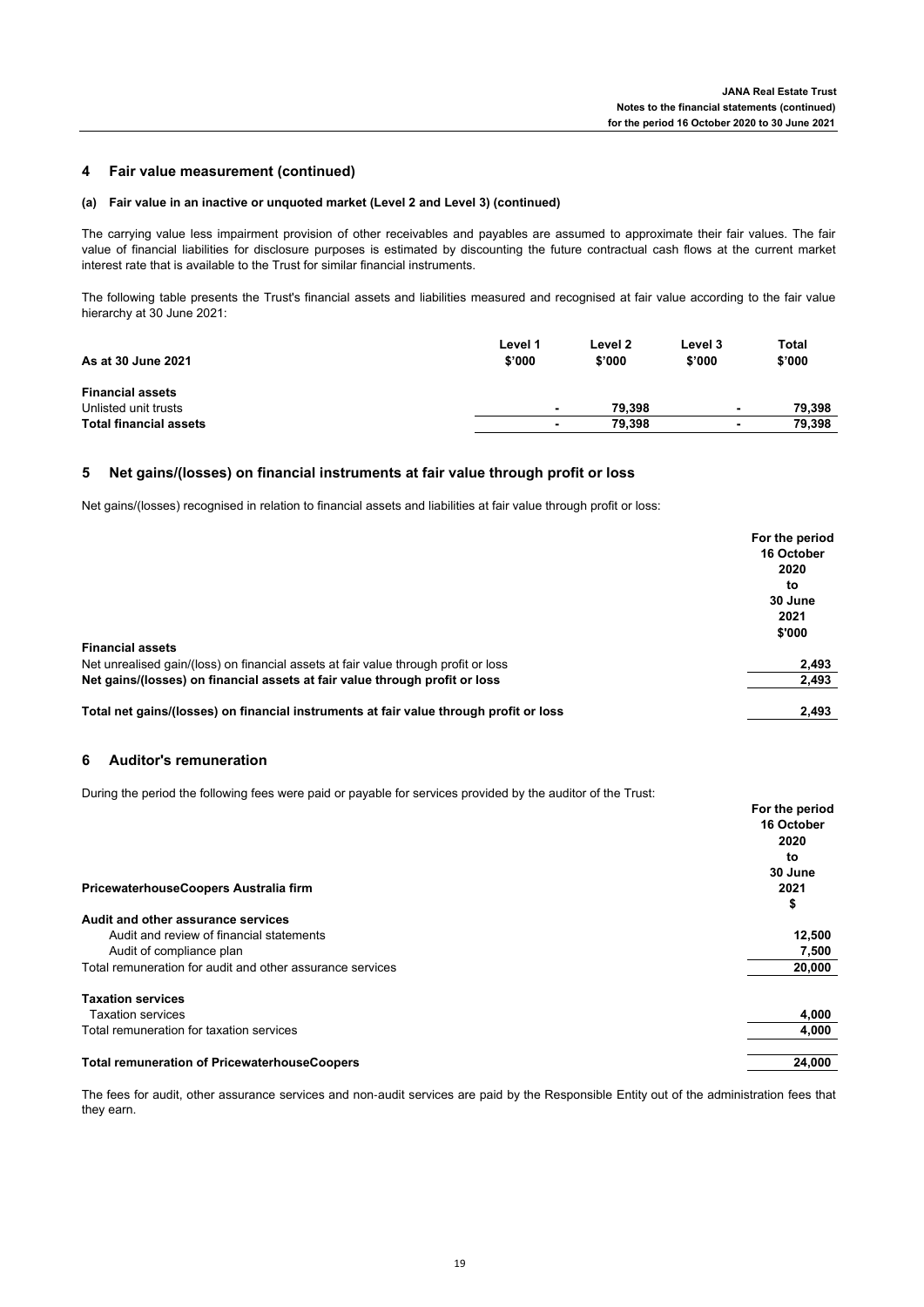### **4 Fair value measurement (continued)**

### **(a) Fair value in an inactive or unquoted market (Level 2 and Level 3) (continued)**

The carrying value less impairment provision of other receivables and payables are assumed to approximate their fair values. The fair value of financial liabilities for disclosure purposes is estimated by discounting the future contractual cash flows at the current market interest rate that is available to the Trust for similar financial instruments.

The following table presents the Trust's financial assets and liabilities measured and recognised at fair value according to the fair value hierarchy at 30 June 2021:

| As at 30 June 2021            | Level 1<br>\$'000 | Level 2<br>\$'000 | Level 3<br>\$'000 | Total<br>\$'000 |
|-------------------------------|-------------------|-------------------|-------------------|-----------------|
| <b>Financial assets</b>       |                   |                   |                   |                 |
| Unlisted unit trusts          | ۰                 | 79.398            |                   | 79.398          |
| <b>Total financial assets</b> |                   | 79.398            |                   | 79,398          |

#### **5 Net gains/(losses) on financial instruments at fair value through profit or loss**

Net gains/(losses) recognised in relation to financial assets and liabilities at fair value through profit or loss:

|                                                                                        | For the period |  |
|----------------------------------------------------------------------------------------|----------------|--|
|                                                                                        | 16 October     |  |
|                                                                                        | 2020           |  |
|                                                                                        | to             |  |
|                                                                                        | 30 June        |  |
|                                                                                        | 2021           |  |
|                                                                                        | \$'000         |  |
| <b>Financial assets</b>                                                                |                |  |
| Net unrealised gain/(loss) on financial assets at fair value through profit or loss    | 2,493          |  |
| Net gains/(losses) on financial assets at fair value through profit or loss            | 2,493          |  |
| Total net gains/(losses) on financial instruments at fair value through profit or loss | 2,493          |  |
|                                                                                        |                |  |

## **6 Auditor's remuneration**

During the period the following fees were paid or payable for services provided by the auditor of the Trust:

|                                                           | For the period |
|-----------------------------------------------------------|----------------|
|                                                           | 16 October     |
|                                                           | 2020           |
|                                                           | to             |
|                                                           | 30 June        |
| PricewaterhouseCoopers Australia firm                     | 2021           |
|                                                           | \$             |
| Audit and other assurance services                        |                |
| Audit and review of financial statements                  | 12,500         |
| Audit of compliance plan                                  | 7,500          |
| Total remuneration for audit and other assurance services | 20,000         |
| <b>Taxation services</b>                                  |                |
| <b>Taxation services</b>                                  | 4,000          |
| Total remuneration for taxation services                  | 4,000          |
| <b>Total remuneration of PricewaterhouseCoopers</b>       | 24.000         |

The fees for audit, other assurance services and non-audit services are paid by the Responsible Entity out of the administration fees that they earn.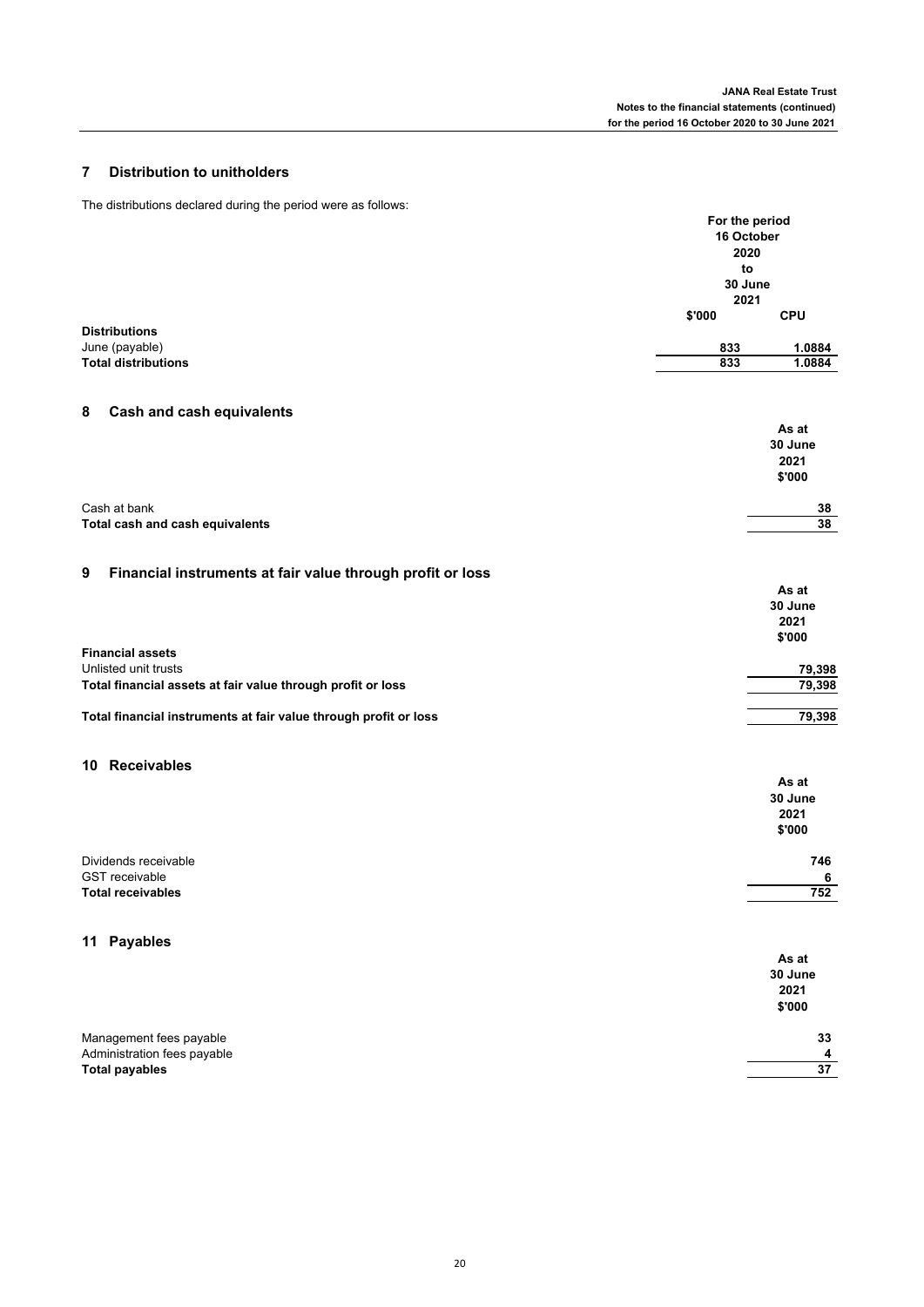# **7 Distribution to unitholders**

The distributions declared during the period were as follows:

|                                                                  | For the period<br>16 October<br>2020<br>to |            |
|------------------------------------------------------------------|--------------------------------------------|------------|
|                                                                  | 30 June<br>2021                            |            |
|                                                                  | \$'000                                     | <b>CPU</b> |
| <b>Distributions</b><br>June (payable)                           | 833                                        | 1.0884     |
| <b>Total distributions</b>                                       | 833                                        | 1.0884     |
|                                                                  |                                            |            |
| <b>Cash and cash equivalents</b><br>8                            |                                            |            |
|                                                                  |                                            | As at      |
|                                                                  |                                            | 30 June    |
|                                                                  |                                            | 2021       |
|                                                                  |                                            | \$'000     |
| Cash at bank                                                     |                                            | 38         |
| Total cash and cash equivalents                                  |                                            | 38         |
|                                                                  |                                            |            |
| Financial instruments at fair value through profit or loss<br>9  |                                            |            |
|                                                                  |                                            | As at      |
|                                                                  |                                            | 30 June    |
|                                                                  |                                            | 2021       |
|                                                                  |                                            | \$'000     |
| <b>Financial assets</b><br>Unlisted unit trusts                  |                                            | 79,398     |
| Total financial assets at fair value through profit or loss      |                                            | 79,398     |
|                                                                  |                                            |            |
| Total financial instruments at fair value through profit or loss |                                            | 79,398     |
|                                                                  |                                            |            |
| 10 Receivables                                                   |                                            |            |
|                                                                  |                                            | As at      |
|                                                                  |                                            | 30 June    |
|                                                                  |                                            | 2021       |
|                                                                  |                                            | \$'000     |
| Dividends receivable                                             |                                            | 746        |
| <b>GST</b> receivable                                            |                                            | 6          |
| <b>Total receivables</b>                                         |                                            | 752        |
|                                                                  |                                            |            |
| 11 Payables                                                      |                                            |            |
|                                                                  |                                            | As at      |
|                                                                  |                                            | 30 June    |
|                                                                  |                                            | 2021       |
|                                                                  |                                            | \$'000     |
| Management fees payable                                          |                                            | 33         |
| Administration fees payable                                      |                                            | 4          |
| <b>Total payables</b>                                            |                                            | 37         |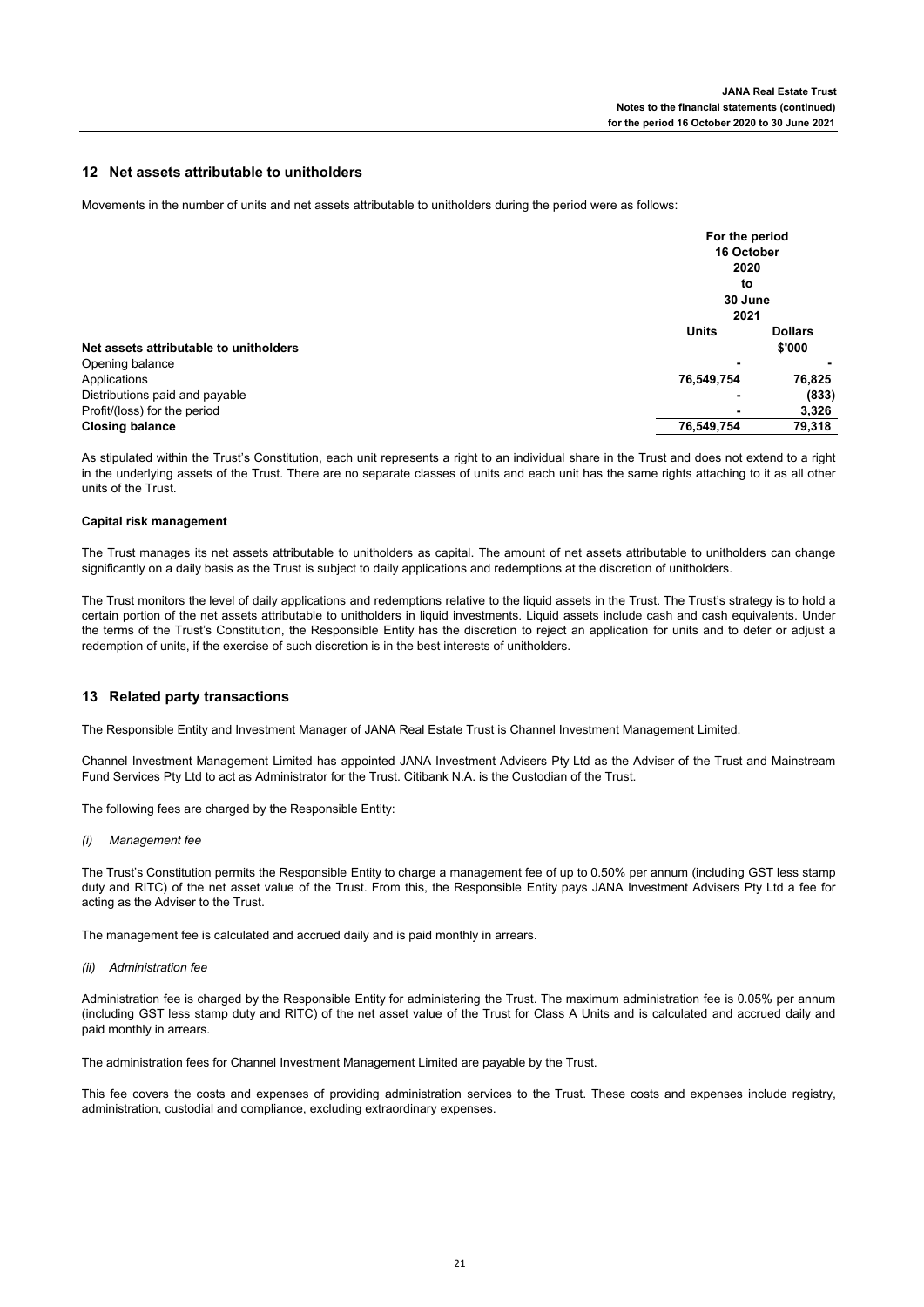### **12 Net assets attributable to unitholders**

Movements in the number of units and net assets attributable to unitholders during the period were as follows:

|                                        |              | For the period        |  |
|----------------------------------------|--------------|-----------------------|--|
|                                        |              | 16 October            |  |
|                                        |              | 2020<br>to<br>30 June |  |
|                                        |              |                       |  |
|                                        |              |                       |  |
|                                        | 2021         |                       |  |
|                                        | <b>Units</b> | <b>Dollars</b>        |  |
| Net assets attributable to unitholders |              | \$'000                |  |
| Opening balance                        | ۰            |                       |  |
| Applications                           | 76,549,754   | 76,825                |  |
| Distributions paid and payable         | ۰            | (833)                 |  |
| Profit/(loss) for the period           | ۰            | 3,326                 |  |
| <b>Closing balance</b>                 | 76,549,754   | 79,318                |  |

As stipulated within the Trust's Constitution, each unit represents a right to an individual share in the Trust and does not extend to a right in the underlying assets of the Trust. There are no separate classes of units and each unit has the same rights attaching to it as all other units of the Trust.

### **Capital risk management**

The Trust manages its net assets attributable to unitholders as capital. The amount of net assets attributable to unitholders can change significantly on a daily basis as the Trust is subject to daily applications and redemptions at the discretion of unitholders.

The Trust monitors the level of daily applications and redemptions relative to the liquid assets in the Trust. The Trust's strategy is to hold a certain portion of the net assets attributable to unitholders in liquid investments. Liquid assets include cash and cash equivalents. Under the terms of the Trust's Constitution, the Responsible Entity has the discretion to reject an application for units and to defer or adjust a redemption of units, if the exercise of such discretion is in the best interests of unitholders.

### **13 Related party transactions**

The Responsible Entity and Investment Manager of JANA Real Estate Trust is Channel Investment Management Limited.

Channel Investment Management Limited has appointed JANA Investment Advisers Pty Ltd as the Adviser of the Trust and Mainstream Fund Services Pty Ltd to act as Administrator for the Trust. Citibank N.A. is the Custodian of the Trust.

The following fees are charged by the Responsible Entity:

### *(i) Management fee*

The Trust's Constitution permits the Responsible Entity to charge a management fee of up to 0.50% per annum (including GST less stamp duty and RITC) of the net asset value of the Trust. From this, the Responsible Entity pays JANA Investment Advisers Pty Ltd a fee for acting as the Adviser to the Trust.

The management fee is calculated and accrued daily and is paid monthly in arrears.

### *(ii) Administration fee*

Administration fee is charged by the Responsible Entity for administering the Trust. The maximum administration fee is 0.05% per annum (including GST less stamp duty and RITC) of the net asset value of the Trust for Class A Units and is calculated and accrued daily and paid monthly in arrears.

The administration fees for Channel Investment Management Limited are payable by the Trust.

This fee covers the costs and expenses of providing administration services to the Trust. These costs and expenses include registry, administration, custodial and compliance, excluding extraordinary expenses.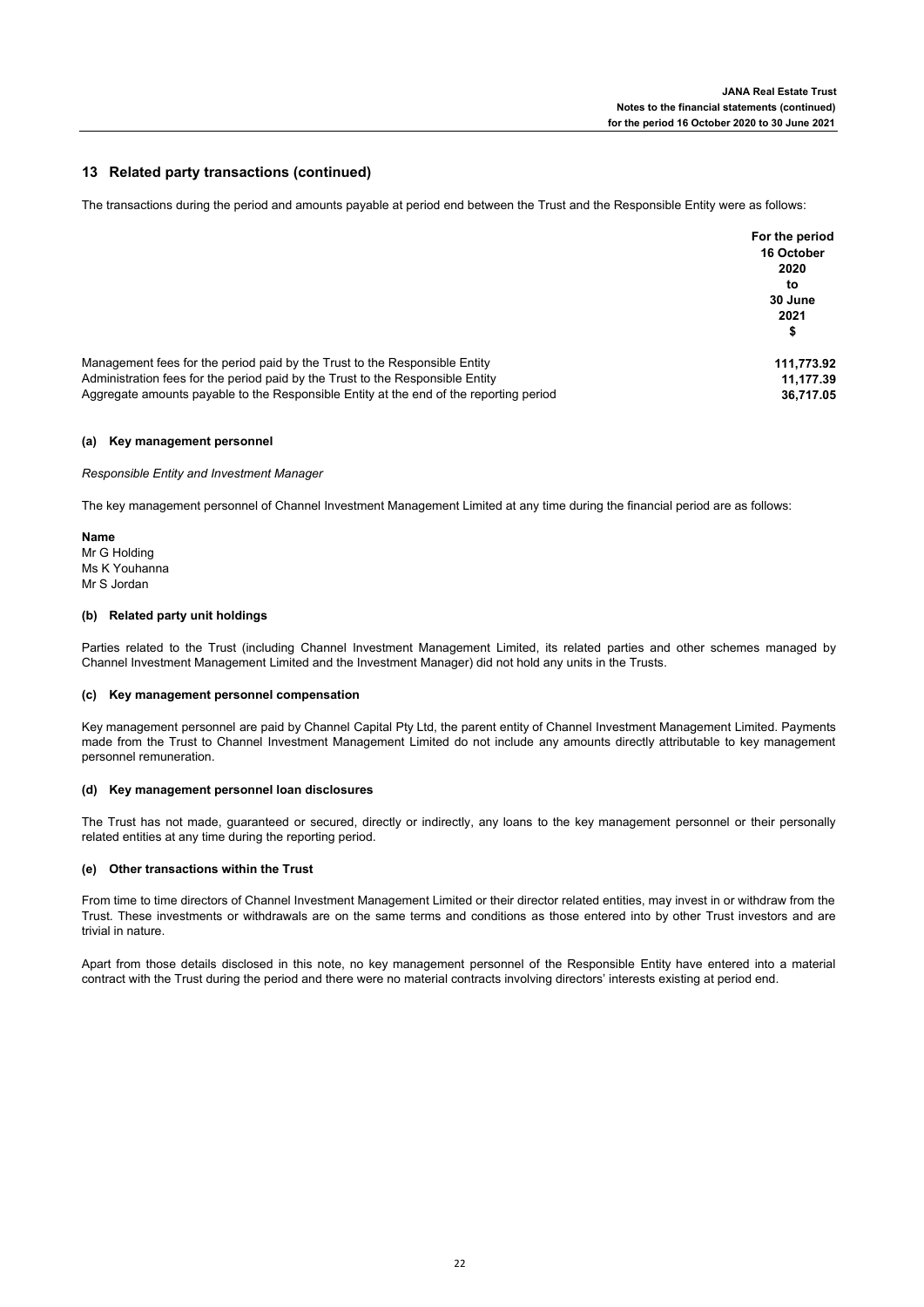### **13 Related party transactions (continued)**

The transactions during the period and amounts payable at period end between the Trust and the Responsible Entity were as follows:

|                                                                                        | For the period<br>16 October<br>2020<br>to<br>30 June<br>2021<br>\$ |
|----------------------------------------------------------------------------------------|---------------------------------------------------------------------|
| Management fees for the period paid by the Trust to the Responsible Entity             | 111,773.92                                                          |
| Administration fees for the period paid by the Trust to the Responsible Entity         | 11,177.39                                                           |
| Aggregate amounts payable to the Responsible Entity at the end of the reporting period | 36.717.05                                                           |

### **(a) Key management personnel**

*Responsible Entity and Investment Manager*

The key management personnel of Channel Investment Management Limited at any time during the financial period are as follows:

**Name** Mr G Holding Ms K Youhanna Mr S Jordan

### **(b) Related party unit holdings**

Parties related to the Trust (including Channel Investment Management Limited, its related parties and other schemes managed by Channel Investment Management Limited and the Investment Manager) did not hold any units in the Trusts.

### **(c) Key management personnel compensation**

Key management personnel are paid by Channel Capital Pty Ltd, the parent entity of Channel Investment Management Limited. Payments made from the Trust to Channel Investment Management Limited do not include any amounts directly attributable to key management personnel remuneration.

### **(d) Key management personnel loan disclosures**

The Trust has not made, guaranteed or secured, directly or indirectly, any loans to the key management personnel or their personally related entities at any time during the reporting period.

### **(e) Other transactions within the Trust**

From time to time directors of Channel Investment Management Limited or their director related entities, may invest in or withdraw from the Trust. These investments or withdrawals are on the same terms and conditions as those entered into by other Trust investors and are trivial in nature.

Apart from those details disclosed in this note, no key management personnel of the Responsible Entity have entered into a material contract with the Trust during the period and there were no material contracts involving directors' interests existing at period end.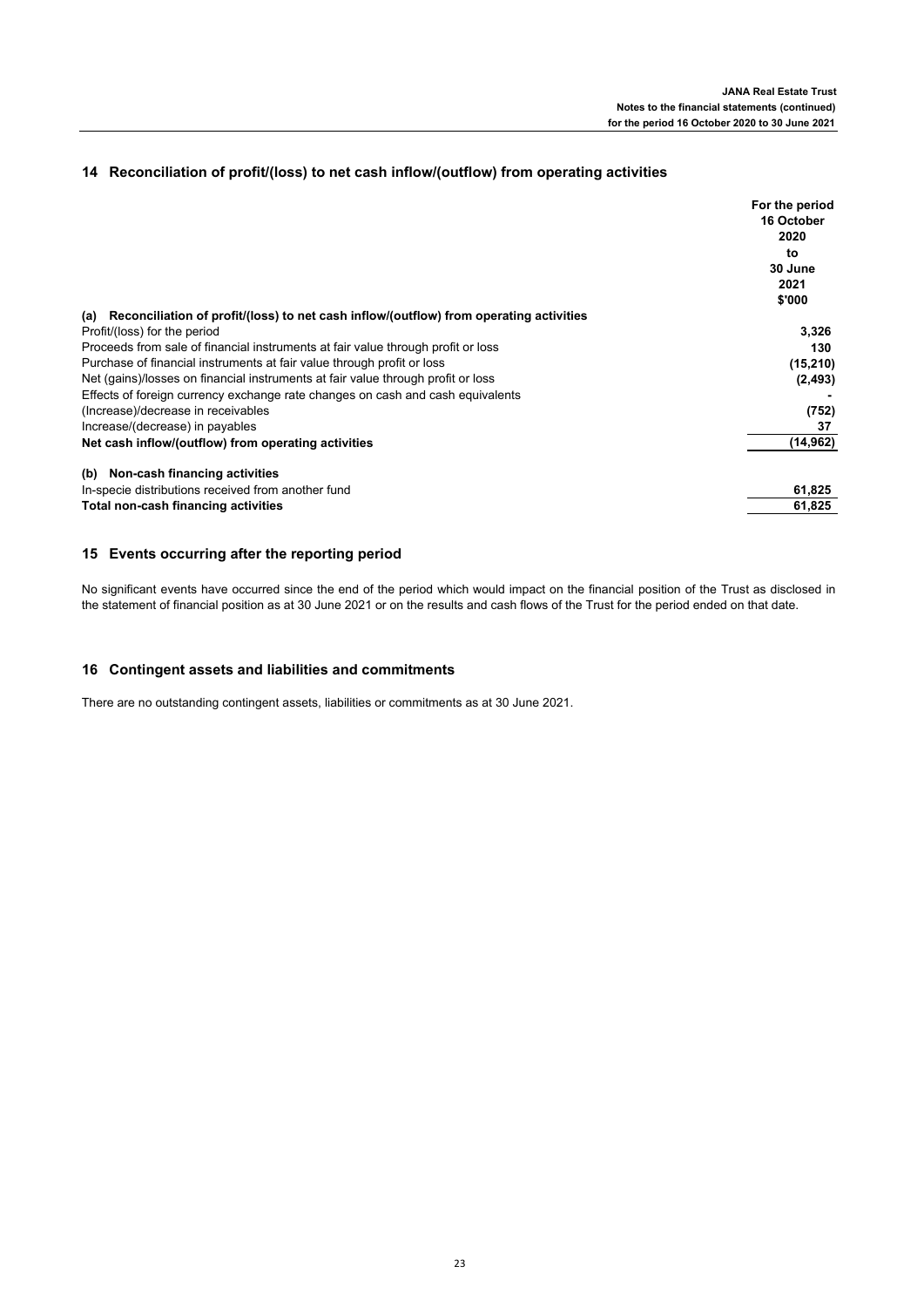# **14 Reconciliation of profit/(loss) to net cash inflow/(outflow) from operating activities**

|                                                                                               | For the period |
|-----------------------------------------------------------------------------------------------|----------------|
|                                                                                               | 16 October     |
|                                                                                               | 2020           |
|                                                                                               | to             |
|                                                                                               | 30 June        |
|                                                                                               | 2021           |
|                                                                                               | \$'000         |
| Reconciliation of profit/(loss) to net cash inflow/(outflow) from operating activities<br>(a) |                |
| Profit/(loss) for the period                                                                  | 3,326          |
| Proceeds from sale of financial instruments at fair value through profit or loss              | 130            |
| Purchase of financial instruments at fair value through profit or loss                        | (15, 210)      |
| Net (gains)/losses on financial instruments at fair value through profit or loss              | (2, 493)       |
| Effects of foreign currency exchange rate changes on cash and cash equivalents                |                |
| (Increase)/decrease in receivables                                                            | (752)          |
| Increase/(decrease) in payables                                                               | 37             |
| Net cash inflow/(outflow) from operating activities                                           | (14, 962)      |
| Non-cash financing activities<br>(b)                                                          |                |
| In-specie distributions received from another fund                                            | 61,825         |
| Total non-cash financing activities                                                           | 61,825         |

# **15 Events occurring after the reporting period**

No significant events have occurred since the end of the period which would impact on the financial position of the Trust as disclosed in the statement of financial position as at 30 June 2021 or on the results and cash flows of the Trust for the period ended on that date.

# **16 Contingent assets and liabilities and commitments**

There are no outstanding contingent assets, liabilities or commitments as at 30 June 2021.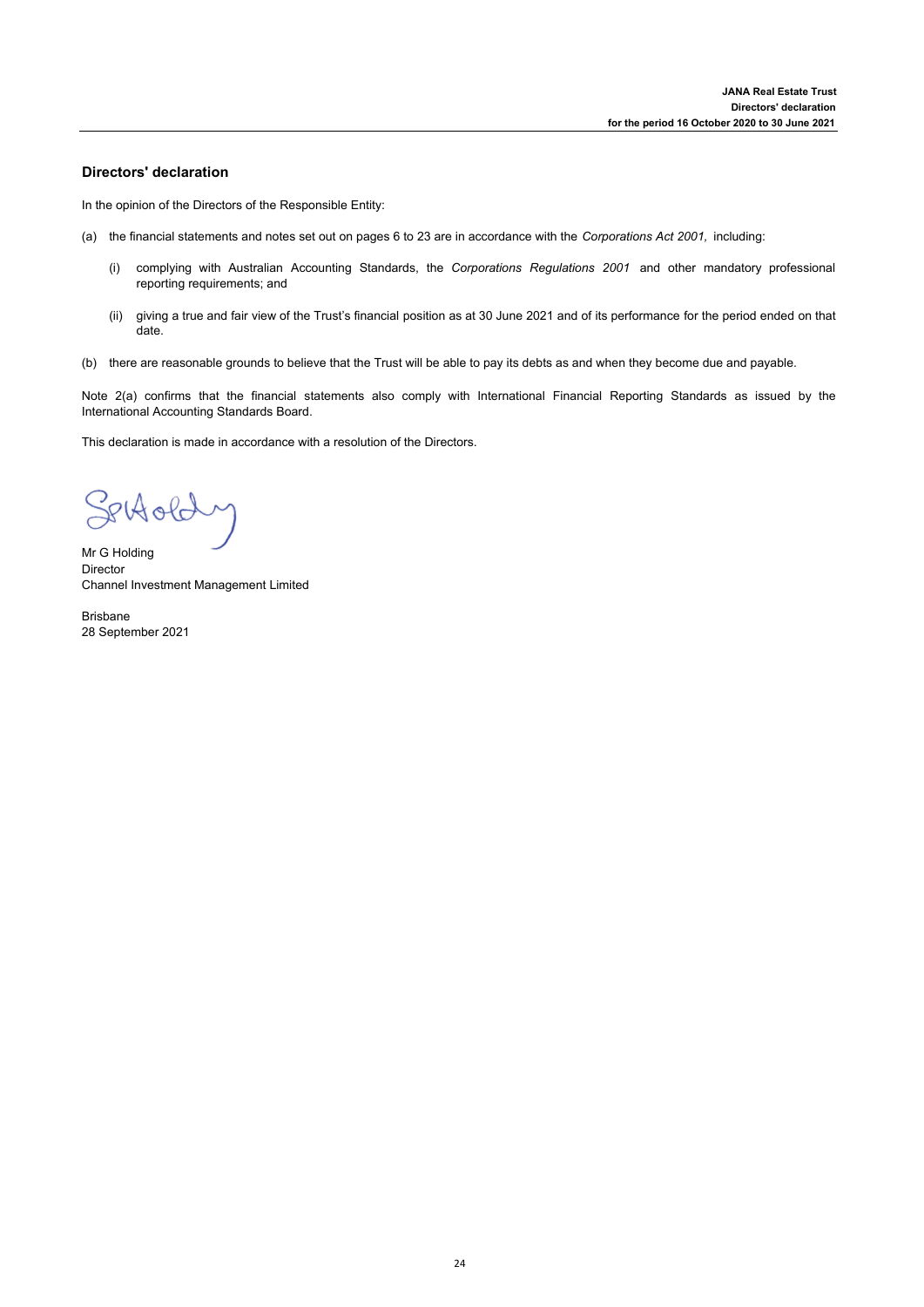### **Directors' declaration**

In the opinion of the Directors of the Responsible Entity:

- (a) the financial statements and notes set out on pages 6 to 23 are in accordance with the *Corporations Act 2001,* including:
	- (i) complying with Australian Accounting Standards, the *Corporations Regulations 2001* and other mandatory professional reporting requirements; and
	- (ii) giving a true and fair view of the Trust's financial position as at 30 June 2021 and of its performance for the period ended on that date.
- (b) there are reasonable grounds to believe that the Trust will be able to pay its debts as and when they become due and payable.

Note 2(a) confirms that the financial statements also comply with International Financial Reporting Standards as issued by the International Accounting Standards Board.

This declaration is made in accordance with a resolution of the Directors.

Settoldy

Mr G Holding Director Channel Investment Management Limited

Brisbane 28 September 2021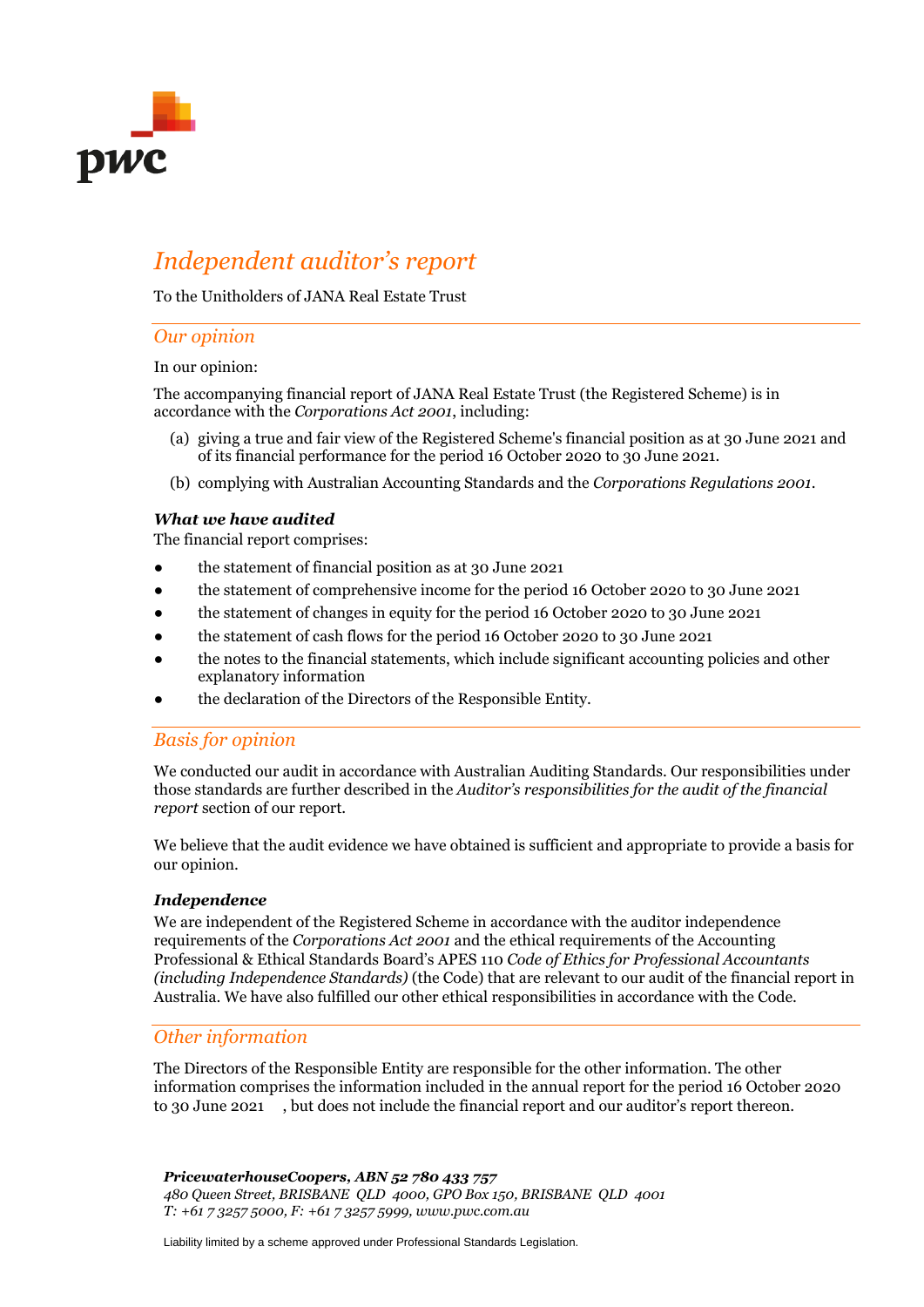

# *Independent auditor's report*

To the Unitholders of JANA Real Estate Trust

# *Our opinion*

# In our opinion:

The accompanying financial report of JANA Real Estate Trust (the Registered Scheme) is in accordance with the *Corporations Act 2001*, including:

- (a) giving a true and fair view of the Registered Scheme's financial position as at 30 June 2021 and of its financial performance for the period 16 October 2020 to 30 June 2021.
- (b) complying with Australian Accounting Standards and the *Corporations Regulations 2001*.

# *What we have audited*

The financial report comprises:

- the statement of financial position as at 30 June 2021
- the statement of comprehensive income for the period 16 October 2020 to 30 June 2021
- the statement of changes in equity for the period 16 October 2020 to 30 June 2021
- the statement of cash flows for the period 16 October 2020 to 30 June 2021
- the notes to the financial statements, which include significant accounting policies and other explanatory information
- the declaration of the Directors of the Responsible Entity.

# *Basis for opinion*

We conducted our audit in accordance with Australian Auditing Standards. Our responsibilities under those standards are further described in the *Auditor's responsibilities for the audit of the financial report* section of our report.

We believe that the audit evidence we have obtained is sufficient and appropriate to provide a basis for our opinion.

# *Independence*

We are independent of the Registered Scheme in accordance with the auditor independence requirements of the *Corporations Act 2001* and the ethical requirements of the Accounting Professional & Ethical Standards Board's APES 110 *Code of Ethics for Professional Accountants (including Independence Standards)* (the Code) that are relevant to our audit of the financial report in Australia. We have also fulfilled our other ethical responsibilities in accordance with the Code.

# *Other information*

The Directors of the Responsible Entity are responsible for the other information. The other information comprises the information included in the annual report for the period 16 October 2020 to 30 June 2021 , but does not include the financial report and our auditor's report thereon.

*PricewaterhouseCoopers, ABN 52 780 433 757 480 Queen Street, BRISBANE QLD 4000, GPO Box 150, BRISBANE QLD 4001 T: +61 7 3257 5000, F: +61 7 3257 5999, www.pwc.com.au*

Liability limited by a scheme approved under Professional Standards Legislation.